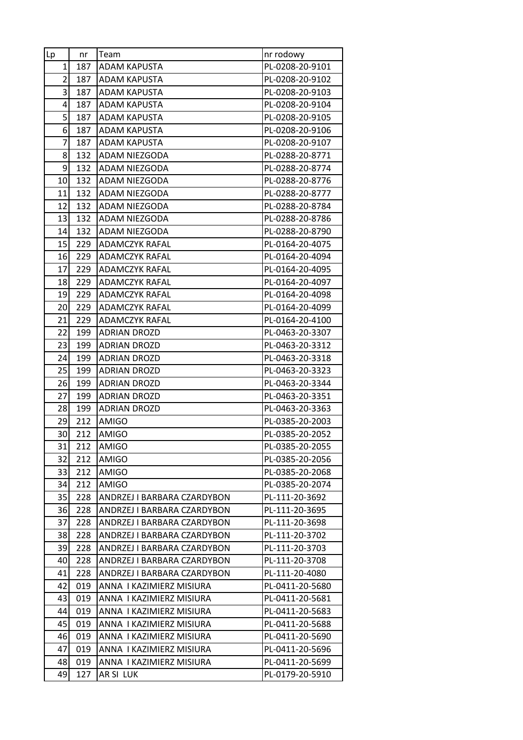| Lp             | nr         | Team                                                       | nr rodowy                          |
|----------------|------------|------------------------------------------------------------|------------------------------------|
| $\mathbf{1}$   | 187        | ADAM KAPUSTA                                               | PL-0208-20-9101                    |
| $\overline{2}$ | 187        | ADAM KAPUSTA                                               | PL-0208-20-9102                    |
| 3              | 187        | <b>ADAM KAPUSTA</b>                                        | PL-0208-20-9103                    |
| 4              | 187        | ADAM KAPUSTA                                               | PL-0208-20-9104                    |
| 5              | 187        | <b>ADAM KAPUSTA</b>                                        | PL-0208-20-9105                    |
| 6              | 187        | ADAM KAPUSTA                                               | PL-0208-20-9106                    |
| 7              | 187        | ADAM KAPUSTA                                               | PL-0208-20-9107                    |
| 8              | 132        | ADAM NIEZGODA                                              | PL-0288-20-8771                    |
| 9              | 132        | ADAM NIEZGODA                                              | PL-0288-20-8774                    |
| 10             | 132        | ADAM NIEZGODA                                              | PL-0288-20-8776                    |
| 11             | 132        | ADAM NIEZGODA                                              | PL-0288-20-8777                    |
| 12             | 132        | ADAM NIEZGODA                                              | PL-0288-20-8784                    |
| 13             | 132        | ADAM NIEZGODA                                              | PL-0288-20-8786                    |
| 14             | 132        | ADAM NIEZGODA                                              | PL-0288-20-8790                    |
| 15             | 229        | <b>ADAMCZYK RAFAL</b>                                      | PL-0164-20-4075                    |
| 16             | 229        | <b>ADAMCZYK RAFAL</b>                                      | PL-0164-20-4094                    |
| 17             | 229        | ADAMCZYK RAFAL                                             | PL-0164-20-4095                    |
| 18             | 229        | <b>ADAMCZYK RAFAL</b>                                      | PL-0164-20-4097                    |
| 19             | 229        | <b>ADAMCZYK RAFAL</b>                                      | PL-0164-20-4098                    |
| 20             | 229        | ADAMCZYK RAFAL                                             | PL-0164-20-4099                    |
| 21             | 229        | <b>ADAMCZYK RAFAL</b>                                      | PL-0164-20-4100                    |
| 22             | 199        | <b>ADRIAN DROZD</b>                                        | PL-0463-20-3307                    |
| 23             | 199        | <b>ADRIAN DROZD</b>                                        | PL-0463-20-3312                    |
| 24             | 199        | <b>ADRIAN DROZD</b>                                        | PL-0463-20-3318                    |
| 25             | 199        | <b>ADRIAN DROZD</b>                                        | PL-0463-20-3323                    |
| 26             | 199        | <b>ADRIAN DROZD</b>                                        | PL-0463-20-3344                    |
| 27             | 199        | <b>ADRIAN DROZD</b>                                        | PL-0463-20-3351                    |
| 28             | 199        | <b>ADRIAN DROZD</b>                                        | PL-0463-20-3363                    |
| 29             | 212        | AMIGO                                                      | PL-0385-20-2003                    |
| 30             | 212        | <b>AMIGO</b>                                               | PL-0385-20-2052                    |
| 31             | 212        | <b>AMIGO</b>                                               | PL-0385-20-2055                    |
| 32             | 212        | AMIGO                                                      | PL-0385-20-2056                    |
| 33             | 212        | <b>AMIGO</b>                                               | PL-0385-20-2068                    |
| 34             | 212        | AMIGO                                                      | PL-0385-20-2074                    |
| 35             | 228        | ANDRZEJ I BARBARA CZARDYBON                                | PL-111-20-3692                     |
| 36             | 228        | ANDRZEJ I BARBARA CZARDYBON                                | PL-111-20-3695                     |
| 37             | 228        | ANDRZEJ I BARBARA CZARDYBON                                | PL-111-20-3698                     |
| 38             | 228        | ANDRZEJ I BARBARA CZARDYBON                                | PL-111-20-3702                     |
| 39<br>40       | 228<br>228 | ANDRZEJ I BARBARA CZARDYBON                                | PL-111-20-3703                     |
|                | 228        | ANDRZEJ I BARBARA CZARDYBON<br>ANDRZEJ I BARBARA CZARDYBON | PL-111-20-3708<br>PL-111-20-4080   |
| 41<br>42       |            |                                                            |                                    |
| 43             | 019<br>019 | ANNA I KAZIMIERZ MISIURA<br>ANNA I KAZIMIERZ MISIURA       | PL-0411-20-5680<br>PL-0411-20-5681 |
| 44             | 019        | ANNA I KAZIMIERZ MISIURA                                   | PL-0411-20-5683                    |
| 45             | 019        | ANNA I KAZIMIERZ MISIURA                                   | PL-0411-20-5688                    |
| 46             | 019        | ANNA I KAZIMIERZ MISIURA                                   | PL-0411-20-5690                    |
| 47             | 019        | ANNA I KAZIMIERZ MISIURA                                   | PL-0411-20-5696                    |
| 48             | 019        | ANNA I KAZIMIERZ MISIURA                                   | PL-0411-20-5699                    |
| 49             | 127        | AR SI LUK                                                  | PL-0179-20-5910                    |
|                |            |                                                            |                                    |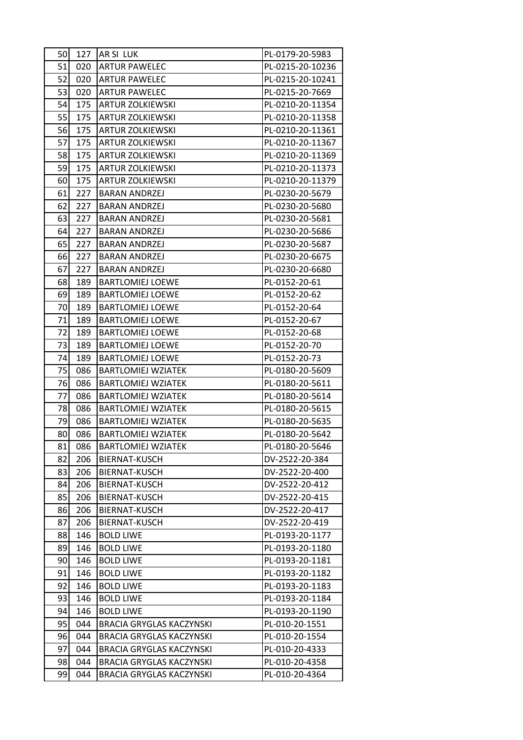| 50  | 127 | AR SI LUK                       | PL-0179-20-5983  |
|-----|-----|---------------------------------|------------------|
| 51  | 020 | <b>ARTUR PAWELEC</b>            | PL-0215-20-10236 |
| 52  | 020 | <b>ARTUR PAWELEC</b>            | PL-0215-20-10241 |
| 53  | 020 | <b>ARTUR PAWELEC</b>            | PL-0215-20-7669  |
| 54  | 175 | <b>ARTUR ZOLKIEWSKI</b>         | PL-0210-20-11354 |
| 55  | 175 | <b>ARTUR ZOLKIEWSKI</b>         | PL-0210-20-11358 |
| 56  | 175 | <b>ARTUR ZOLKIEWSKI</b>         | PL-0210-20-11361 |
| 57  | 175 | <b>ARTUR ZOLKIEWSKI</b>         | PL-0210-20-11367 |
| 58  | 175 | <b>ARTUR ZOLKIEWSKI</b>         | PL-0210-20-11369 |
| 59  | 175 | <b>ARTUR ZOLKIEWSKI</b>         | PL-0210-20-11373 |
| 60  | 175 | <b>ARTUR ZOLKIEWSKI</b>         | PL-0210-20-11379 |
| 61  | 227 | <b>BARAN ANDRZEJ</b>            | PL-0230-20-5679  |
| 62  | 227 | <b>BARAN ANDRZEJ</b>            | PL-0230-20-5680  |
| 63  | 227 | <b>BARAN ANDRZEJ</b>            | PL-0230-20-5681  |
| 64  | 227 | <b>BARAN ANDRZEJ</b>            | PL-0230-20-5686  |
| 65  | 227 | <b>BARAN ANDRZEJ</b>            | PL-0230-20-5687  |
| 66  | 227 | <b>BARAN ANDRZEJ</b>            | PL-0230-20-6675  |
| 67  | 227 | <b>BARAN ANDRZEJ</b>            | PL-0230-20-6680  |
| 68  | 189 | <b>BARTLOMIEJ LOEWE</b>         | PL-0152-20-61    |
| 69  | 189 | <b>BARTLOMIEJ LOEWE</b>         | PL-0152-20-62    |
| 70  | 189 | <b>BARTLOMIEJ LOEWE</b>         | PL-0152-20-64    |
| 71  | 189 | <b>BARTLOMIEJ LOEWE</b>         | PL-0152-20-67    |
| 72  | 189 | <b>BARTLOMIEJ LOEWE</b>         | PL-0152-20-68    |
| 73  | 189 | <b>BARTLOMIEJ LOEWE</b>         | PL-0152-20-70    |
| 74  | 189 | <b>BARTLOMIEJ LOEWE</b>         | PL-0152-20-73    |
| 75  | 086 | <b>BARTLOMIEJ WZIATEK</b>       | PL-0180-20-5609  |
| 76  | 086 | <b>BARTLOMIEJ WZIATEK</b>       | PL-0180-20-5611  |
| 77  | 086 | <b>BARTLOMIEJ WZIATEK</b>       | PL-0180-20-5614  |
| 781 | 086 | <b>BARTLOMIEJ WZIATEK</b>       | PL-0180-20-5615  |
| 79  | 086 | <b>BARTLOMIEJ WZIATEK</b>       | PL-0180-20-5635  |
| 80  | 086 | <b>BARTLOMIEJ WZIATEK</b>       | PL-0180-20-5642  |
| 81  | 086 | <b>BARTLOMIEJ WZIATEK</b>       | PL-0180-20-5646  |
| 82  | 206 | BIERNAT-KUSCH                   | DV-2522-20-384   |
| 83  | 206 | BIERNAT-KUSCH                   | DV-2522-20-400   |
| 84  | 206 | BIERNAT-KUSCH                   | DV-2522-20-412   |
| 85  | 206 | BIERNAT-KUSCH                   | DV-2522-20-415   |
| 86  | 206 | BIERNAT-KUSCH                   | DV-2522-20-417   |
| 87  | 206 | BIERNAT-KUSCH                   | DV-2522-20-419   |
| 88  | 146 | <b>BOLD LIWE</b>                | PL-0193-20-1177  |
| 89  | 146 | <b>BOLD LIWE</b>                | PL-0193-20-1180  |
| 90  | 146 | <b>BOLD LIWE</b>                | PL-0193-20-1181  |
| 91  | 146 | <b>BOLD LIWE</b>                | PL-0193-20-1182  |
| 92  | 146 | <b>BOLD LIWE</b>                | PL-0193-20-1183  |
| 93  | 146 | <b>BOLD LIWE</b>                | PL-0193-20-1184  |
| 94  | 146 | <b>BOLD LIWE</b>                | PL-0193-20-1190  |
| 95  | 044 | <b>BRACIA GRYGLAS KACZYNSKI</b> | PL-010-20-1551   |
| 96  | 044 | <b>BRACIA GRYGLAS KACZYNSKI</b> | PL-010-20-1554   |
| 97  | 044 | <b>BRACIA GRYGLAS KACZYNSKI</b> | PL-010-20-4333   |
| 98  | 044 | <b>BRACIA GRYGLAS KACZYNSKI</b> | PL-010-20-4358   |
| 99  | 044 | <b>BRACIA GRYGLAS KACZYNSKI</b> | PL-010-20-4364   |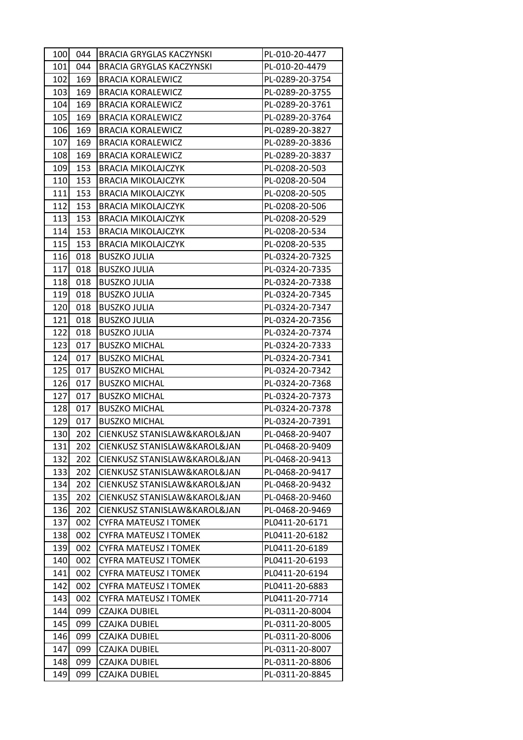| 100 | 044 | BRACIA GRYGLAS KACZYNSKI        | PL-010-20-4477  |
|-----|-----|---------------------------------|-----------------|
| 101 | 044 | <b>BRACIA GRYGLAS KACZYNSKI</b> | PL-010-20-4479  |
| 102 | 169 | <b>BRACIA KORALEWICZ</b>        | PL-0289-20-3754 |
| 103 | 169 | <b>BRACIA KORALEWICZ</b>        | PL-0289-20-3755 |
| 104 | 169 | <b>BRACIA KORALEWICZ</b>        | PL-0289-20-3761 |
| 105 | 169 | <b>BRACIA KORALEWICZ</b>        | PL-0289-20-3764 |
| 106 | 169 | <b>BRACIA KORALEWICZ</b>        | PL-0289-20-3827 |
| 107 | 169 | <b>BRACIA KORALEWICZ</b>        | PL-0289-20-3836 |
| 108 | 169 | <b>BRACIA KORALEWICZ</b>        | PL-0289-20-3837 |
| 109 | 153 | <b>BRACIA MIKOLAJCZYK</b>       | PL-0208-20-503  |
| 110 | 153 | <b>BRACIA MIKOLAJCZYK</b>       | PL-0208-20-504  |
| 111 | 153 | <b>BRACIA MIKOLAJCZYK</b>       | PL-0208-20-505  |
| 112 | 153 | <b>BRACIA MIKOLAJCZYK</b>       | PL-0208-20-506  |
| 113 | 153 | <b>BRACIA MIKOLAJCZYK</b>       | PL-0208-20-529  |
| 114 | 153 | <b>BRACIA MIKOLAJCZYK</b>       | PL-0208-20-534  |
| 115 | 153 | <b>BRACIA MIKOLAJCZYK</b>       | PL-0208-20-535  |
| 116 | 018 | <b>BUSZKO JULIA</b>             | PL-0324-20-7325 |
| 117 | 018 | <b>BUSZKO JULIA</b>             | PL-0324-20-7335 |
| 118 | 018 | <b>BUSZKO JULIA</b>             | PL-0324-20-7338 |
| 119 | 018 | <b>BUSZKO JULIA</b>             | PL-0324-20-7345 |
| 120 | 018 | <b>BUSZKO JULIA</b>             | PL-0324-20-7347 |
| 121 | 018 | <b>BUSZKO JULIA</b>             | PL-0324-20-7356 |
| 122 | 018 | <b>BUSZKO JULIA</b>             | PL-0324-20-7374 |
| 123 | 017 | <b>BUSZKO MICHAL</b>            | PL-0324-20-7333 |
| 124 | 017 | <b>BUSZKO MICHAL</b>            | PL-0324-20-7341 |
| 125 | 017 | <b>BUSZKO MICHAL</b>            | PL-0324-20-7342 |
| 126 | 017 | <b>BUSZKO MICHAL</b>            | PL-0324-20-7368 |
| 127 | 017 | <b>BUSZKO MICHAL</b>            | PL-0324-20-7373 |
| 128 | 017 | <b>BUSZKO MICHAL</b>            | PL-0324-20-7378 |
| 129 | 017 | <b>BUSZKO MICHAL</b>            | PL-0324-20-7391 |
| 130 | 202 | CIENKUSZ STANISLAW&KAROL&JAN    | PL-0468-20-9407 |
| 131 | 202 | CIENKUSZ STANISLAW&KAROL&JAN    | PL-0468-20-9409 |
| 132 | 202 | CIENKUSZ STANISLAW&KAROL&JAN    | PL-0468-20-9413 |
| 133 | 202 | CIENKUSZ STANISLAW&KAROL&JAN    | PL-0468-20-9417 |
| 134 | 202 | CIENKUSZ STANISLAW&KAROL&JAN    | PL-0468-20-9432 |
| 135 | 202 | CIENKUSZ STANISLAW&KAROL&JAN    | PL-0468-20-9460 |
| 136 | 202 | CIENKUSZ STANISLAW&KAROL&JAN    | PL-0468-20-9469 |
| 137 | 002 | <b>CYFRA MATEUSZ I TOMEK</b>    | PL0411-20-6171  |
| 138 | 002 | <b>CYFRA MATEUSZ I TOMEK</b>    | PL0411-20-6182  |
| 139 | 002 | CYFRA MATEUSZ I TOMEK           | PL0411-20-6189  |
| 140 | 002 | <b>CYFRA MATEUSZ I TOMEK</b>    | PL0411-20-6193  |
| 141 | 002 | <b>CYFRA MATEUSZ I TOMEK</b>    | PL0411-20-6194  |
| 142 | 002 | CYFRA MATEUSZ I TOMEK           | PL0411-20-6883  |
| 143 | 002 | <b>CYFRA MATEUSZ I TOMEK</b>    | PL0411-20-7714  |
| 144 | 099 | <b>CZAJKA DUBIEL</b>            | PL-0311-20-8004 |
| 145 | 099 | CZAJKA DUBIEL                   | PL-0311-20-8005 |
| 146 | 099 | <b>CZAJKA DUBIEL</b>            | PL-0311-20-8006 |
| 147 | 099 | CZAJKA DUBIEL                   | PL-0311-20-8007 |
| 148 | 099 | <b>CZAJKA DUBIEL</b>            | PL-0311-20-8806 |
| 149 | 099 | <b>CZAJKA DUBIEL</b>            | PL-0311-20-8845 |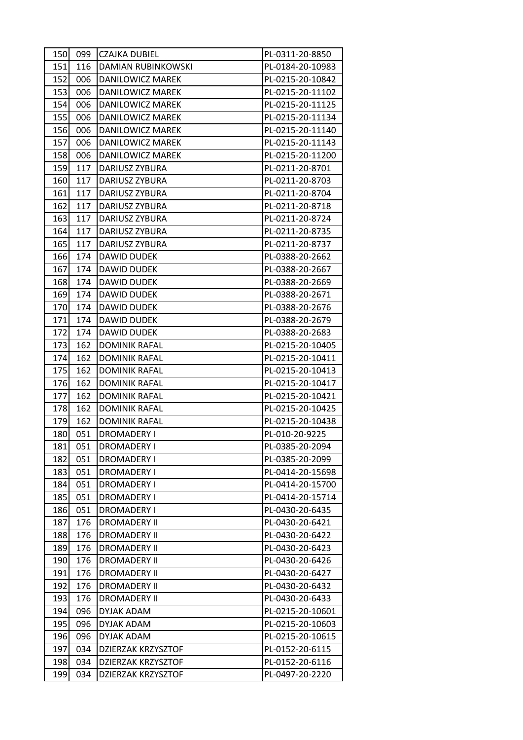| 150 | 099 | <b>CZAJKA DUBIEL</b>  | PL-0311-20-8850  |
|-----|-----|-----------------------|------------------|
| 151 | 116 | DAMIAN RUBINKOWSKI    | PL-0184-20-10983 |
| 152 | 006 | DANILOWICZ MAREK      | PL-0215-20-10842 |
| 153 | 006 | DANILOWICZ MAREK      | PL-0215-20-11102 |
| 154 | 006 | DANILOWICZ MAREK      | PL-0215-20-11125 |
| 155 | 006 | DANILOWICZ MAREK      | PL-0215-20-11134 |
| 156 | 006 | DANILOWICZ MAREK      | PL-0215-20-11140 |
| 157 | 006 | DANILOWICZ MAREK      | PL-0215-20-11143 |
| 158 | 006 | DANILOWICZ MAREK      | PL-0215-20-11200 |
| 159 | 117 | <b>DARIUSZ ZYBURA</b> | PL-0211-20-8701  |
| 160 | 117 | DARIUSZ ZYBURA        | PL-0211-20-8703  |
| 161 | 117 | DARIUSZ ZYBURA        | PL-0211-20-8704  |
| 162 | 117 | DARIUSZ ZYBURA        | PL-0211-20-8718  |
| 163 | 117 | DARIUSZ ZYBURA        | PL-0211-20-8724  |
| 164 | 117 | DARIUSZ ZYBURA        | PL-0211-20-8735  |
| 165 | 117 | DARIUSZ ZYBURA        | PL-0211-20-8737  |
| 166 | 174 | <b>DAWID DUDEK</b>    | PL-0388-20-2662  |
| 167 | 174 | DAWID DUDEK           | PL-0388-20-2667  |
| 168 | 174 | DAWID DUDEK           | PL-0388-20-2669  |
| 169 | 174 | DAWID DUDEK           | PL-0388-20-2671  |
| 170 | 174 | DAWID DUDEK           | PL-0388-20-2676  |
| 171 | 174 | <b>DAWID DUDEK</b>    | PL-0388-20-2679  |
| 172 | 174 | DAWID DUDEK           | PL-0388-20-2683  |
| 173 | 162 | <b>DOMINIK RAFAL</b>  | PL-0215-20-10405 |
| 174 | 162 | <b>DOMINIK RAFAL</b>  | PL-0215-20-10411 |
| 175 | 162 | <b>DOMINIK RAFAL</b>  | PL-0215-20-10413 |
| 176 | 162 | <b>DOMINIK RAFAL</b>  | PL-0215-20-10417 |
| 177 | 162 | <b>DOMINIK RAFAL</b>  | PL-0215-20-10421 |
| 178 | 162 | <b>DOMINIK RAFAL</b>  | PL-0215-20-10425 |
| 179 | 162 | <b>DOMINIK RAFAL</b>  | PL-0215-20-10438 |
| 180 | 051 | <b>DROMADERY I</b>    | PL-010-20-9225   |
| 181 | 051 | <b>DROMADERY I</b>    | PL-0385-20-2094  |
| 182 | 051 | DROMADERY I           | PL-0385-20-2099  |
| 183 | 051 | DROMADERY I           | PL-0414-20-15698 |
| 184 | 051 | <b>DROMADERY I</b>    | PL-0414-20-15700 |
| 185 | 051 | <b>DROMADERY I</b>    | PL-0414-20-15714 |
| 186 | 051 | <b>DROMADERY I</b>    | PL-0430-20-6435  |
| 187 | 176 | <b>DROMADERY II</b>   | PL-0430-20-6421  |
| 188 | 176 | <b>DROMADERY II</b>   | PL-0430-20-6422  |
| 189 | 176 | <b>DROMADERY II</b>   | PL-0430-20-6423  |
| 190 | 176 | <b>DROMADERY II</b>   | PL-0430-20-6426  |
| 191 | 176 | <b>DROMADERY II</b>   | PL-0430-20-6427  |
| 192 | 176 | <b>DROMADERY II</b>   | PL-0430-20-6432  |
| 193 | 176 | <b>DROMADERY II</b>   | PL-0430-20-6433  |
| 194 | 096 | DYJAK ADAM            | PL-0215-20-10601 |
| 195 | 096 | DYJAK ADAM            | PL-0215-20-10603 |
| 196 | 096 | DYJAK ADAM            | PL-0215-20-10615 |
| 197 | 034 | DZIERZAK KRZYSZTOF    | PL-0152-20-6115  |
| 198 | 034 | DZIERZAK KRZYSZTOF    | PL-0152-20-6116  |
| 199 | 034 | DZIERZAK KRZYSZTOF    | PL-0497-20-2220  |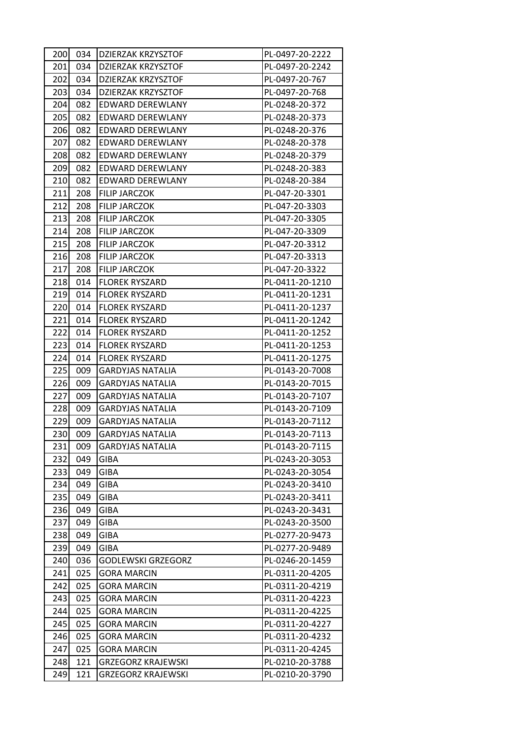| 200I | 034 | DZIERZAK KRZYSZTOF        | PL-0497-20-2222 |
|------|-----|---------------------------|-----------------|
| 201  | 034 | <b>DZIERZAK KRZYSZTOF</b> | PL-0497-20-2242 |
| 202  | 034 | DZIERZAK KRZYSZTOF        | PL-0497-20-767  |
| 203  | 034 | DZIERZAK KRZYSZTOF        | PL-0497-20-768  |
| 204  | 082 | <b>EDWARD DEREWLANY</b>   | PL-0248-20-372  |
| 205  | 082 | EDWARD DEREWLANY          | PL-0248-20-373  |
| 206  | 082 | EDWARD DEREWLANY          | PL-0248-20-376  |
| 207  | 082 | EDWARD DEREWLANY          | PL-0248-20-378  |
| 208  | 082 | EDWARD DEREWLANY          | PL-0248-20-379  |
| 209  | 082 | EDWARD DEREWLANY          | PL-0248-20-383  |
| 210  | 082 | EDWARD DEREWLANY          | PL-0248-20-384  |
| 211  | 208 | FILIP JARCZOK             | PL-047-20-3301  |
| 212  | 208 | <b>FILIP JARCZOK</b>      | PL-047-20-3303  |
| 213  | 208 | <b>FILIP JARCZOK</b>      | PL-047-20-3305  |
| 214  | 208 | <b>FILIP JARCZOK</b>      | PL-047-20-3309  |
| 215  | 208 | <b>FILIP JARCZOK</b>      | PL-047-20-3312  |
| 216  | 208 | <b>FILIP JARCZOK</b>      | PL-047-20-3313  |
| 217  | 208 | <b>FILIP JARCZOK</b>      | PL-047-20-3322  |
| 218  | 014 | <b>FLOREK RYSZARD</b>     | PL-0411-20-1210 |
| 219  | 014 | <b>FLOREK RYSZARD</b>     | PL-0411-20-1231 |
| 220  | 014 | <b>FLOREK RYSZARD</b>     | PL-0411-20-1237 |
| 221  | 014 | <b>FLOREK RYSZARD</b>     | PL-0411-20-1242 |
| 222  | 014 | <b>FLOREK RYSZARD</b>     | PL-0411-20-1252 |
| 223  | 014 | <b>FLOREK RYSZARD</b>     | PL-0411-20-1253 |
| 224  | 014 | <b>FLOREK RYSZARD</b>     | PL-0411-20-1275 |
| 225  | 009 | <b>GARDYJAS NATALIA</b>   | PL-0143-20-7008 |
| 226  | 009 | <b>GARDYJAS NATALIA</b>   | PL-0143-20-7015 |
| 227  | 009 | <b>GARDYJAS NATALIA</b>   | PL-0143-20-7107 |
| 228  | 009 | GARDYJAS NATALIA          | PL-0143-20-7109 |
| 229  | 009 | <b>GARDYJAS NATALIA</b>   | PL-0143-20-7112 |
| 230  | 009 | GARDYJAS NATALIA          | PL-0143-20-7113 |
| 231  | 009 | <b>GARDYJAS NATALIA</b>   | PL-0143-20-7115 |
| 232  | 049 | <b>GIBA</b>               | PL-0243-20-3053 |
| 233  | 049 | <b>GIBA</b>               | PL-0243-20-3054 |
| 234  | 049 | <b>GIBA</b>               | PL-0243-20-3410 |
| 235  | 049 | GIBA                      | PL-0243-20-3411 |
| 236  | 049 | <b>GIBA</b>               | PL-0243-20-3431 |
| 237  | 049 | GIBA                      | PL-0243-20-3500 |
| 238  | 049 | <b>GIBA</b>               | PL-0277-20-9473 |
| 239  | 049 | <b>GIBA</b>               | PL-0277-20-9489 |
| 240  | 036 | GODLEWSKI GRZEGORZ        | PL-0246-20-1459 |
| 241  | 025 | <b>GORA MARCIN</b>        | PL-0311-20-4205 |
| 242  | 025 | <b>GORA MARCIN</b>        | PL-0311-20-4219 |
| 243  | 025 | <b>GORA MARCIN</b>        | PL-0311-20-4223 |
| 244  | 025 | <b>GORA MARCIN</b>        | PL-0311-20-4225 |
| 245  | 025 | <b>GORA MARCIN</b>        | PL-0311-20-4227 |
| 246  | 025 | <b>GORA MARCIN</b>        | PL-0311-20-4232 |
| 247  | 025 | <b>GORA MARCIN</b>        | PL-0311-20-4245 |
| 248  | 121 | <b>GRZEGORZ KRAJEWSKI</b> | PL-0210-20-3788 |
| 249  | 121 | <b>GRZEGORZ KRAJEWSKI</b> | PL-0210-20-3790 |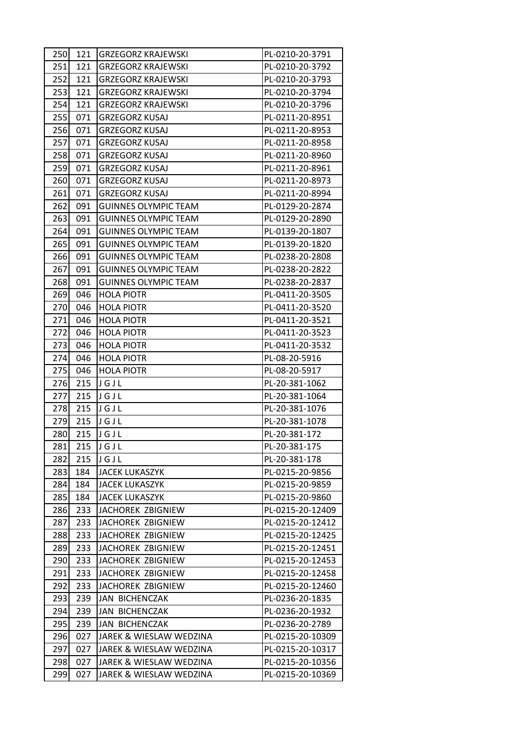| 250 | 121 | <b>GRZEGORZ KRAJEWSKI</b>   | PL-0210-20-3791  |
|-----|-----|-----------------------------|------------------|
| 251 | 121 | <b>GRZEGORZ KRAJEWSKI</b>   | PL-0210-20-3792  |
| 252 | 121 | <b>GRZEGORZ KRAJEWSKI</b>   | PL-0210-20-3793  |
| 253 | 121 | <b>GRZEGORZ KRAJEWSKI</b>   | PL-0210-20-3794  |
| 254 | 121 | <b>GRZEGORZ KRAJEWSKI</b>   | PL-0210-20-3796  |
| 255 | 071 | <b>GRZEGORZ KUSAJ</b>       | PL-0211-20-8951  |
| 256 | 071 | <b>GRZEGORZ KUSAJ</b>       | PL-0211-20-8953  |
| 257 | 071 | <b>GRZEGORZ KUSAJ</b>       | PL-0211-20-8958  |
| 258 | 071 | <b>GRZEGORZ KUSAJ</b>       | PL-0211-20-8960  |
| 259 | 071 | <b>GRZEGORZ KUSAJ</b>       | PL-0211-20-8961  |
| 260 | 071 | <b>GRZEGORZ KUSAJ</b>       | PL-0211-20-8973  |
| 261 | 071 | <b>GRZEGORZ KUSAJ</b>       | PL-0211-20-8994  |
| 262 | 091 | <b>GUINNES OLYMPIC TEAM</b> | PL-0129-20-2874  |
| 263 | 091 | <b>GUINNES OLYMPIC TEAM</b> | PL-0129-20-2890  |
| 264 | 091 | <b>GUINNES OLYMPIC TEAM</b> | PL-0139-20-1807  |
| 265 | 091 | <b>GUINNES OLYMPIC TEAM</b> | PL-0139-20-1820  |
| 266 | 091 | <b>GUINNES OLYMPIC TEAM</b> | PL-0238-20-2808  |
| 267 | 091 | <b>GUINNES OLYMPIC TEAM</b> | PL-0238-20-2822  |
| 268 | 091 | <b>GUINNES OLYMPIC TEAM</b> | PL-0238-20-2837  |
| 269 | 046 | <b>HOLA PIOTR</b>           | PL-0411-20-3505  |
| 270 | 046 | <b>HOLA PIOTR</b>           | PL-0411-20-3520  |
| 271 | 046 | <b>HOLA PIOTR</b>           | PL-0411-20-3521  |
| 272 | 046 | <b>HOLA PIOTR</b>           | PL-0411-20-3523  |
| 273 | 046 | <b>HOLA PIOTR</b>           | PL-0411-20-3532  |
| 274 | 046 | <b>HOLA PIOTR</b>           | PL-08-20-5916    |
| 275 | 046 | <b>HOLA PIOTR</b>           | PL-08-20-5917    |
| 276 | 215 | JGJL                        | PL-20-381-1062   |
| 277 | 215 | JGJL                        | PL-20-381-1064   |
| 278 | 215 | JGJL                        | PL-20-381-1076   |
| 279 | 215 | JGJL                        | PL-20-381-1078   |
| 280 | 215 | JGJL                        | PL-20-381-172    |
| 281 | 215 | JGJL                        | PL-20-381-175    |
| 282 | 215 | JGJL                        | PL-20-381-178    |
| 283 | 184 | <b>JACEK LUKASZYK</b>       | PL-0215-20-9856  |
| 284 | 184 | <b>JACEK LUKASZYK</b>       | PL-0215-20-9859  |
| 285 | 184 | <b>JACEK LUKASZYK</b>       | PL-0215-20-9860  |
| 286 | 233 | JACHOREK ZBIGNIEW           | PL-0215-20-12409 |
| 287 | 233 | JACHOREK ZBIGNIEW           | PL-0215-20-12412 |
| 288 | 233 | JACHOREK ZBIGNIEW           | PL-0215-20-12425 |
| 289 | 233 | JACHOREK ZBIGNIEW           | PL-0215-20-12451 |
| 290 | 233 | JACHOREK ZBIGNIEW           | PL-0215-20-12453 |
| 291 | 233 | JACHOREK ZBIGNIEW           | PL-0215-20-12458 |
| 292 | 233 | JACHOREK ZBIGNIEW           | PL-0215-20-12460 |
| 293 | 239 | <b>JAN BICHENCZAK</b>       | PL-0236-20-1835  |
| 294 | 239 | JAN BICHENCZAK              | PL-0236-20-1932  |
| 295 | 239 | <b>JAN BICHENCZAK</b>       | PL-0236-20-2789  |
| 296 | 027 | JAREK & WIESLAW WEDZINA     | PL-0215-20-10309 |
| 297 | 027 | JAREK & WIESLAW WEDZINA     | PL-0215-20-10317 |
| 298 | 027 | JAREK & WIESLAW WEDZINA     | PL-0215-20-10356 |
| 299 | 027 | JAREK & WIESLAW WEDZINA     | PL-0215-20-10369 |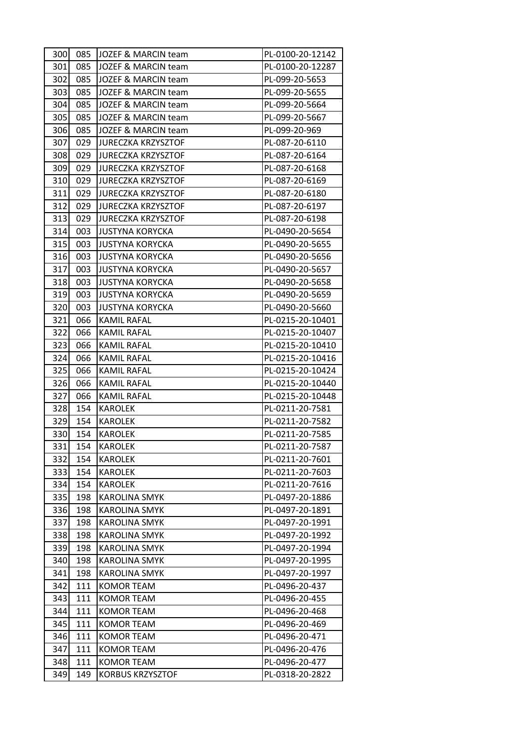| 300 | 085 | JOZEF & MARCIN team       | PL-0100-20-12142 |
|-----|-----|---------------------------|------------------|
| 301 | 085 | JOZEF & MARCIN team       | PL-0100-20-12287 |
| 302 | 085 | JOZEF & MARCIN team       | PL-099-20-5653   |
| 303 | 085 | JOZEF & MARCIN team       | PL-099-20-5655   |
| 304 | 085 | JOZEF & MARCIN team       | PL-099-20-5664   |
| 305 | 085 | JOZEF & MARCIN team       | PL-099-20-5667   |
| 306 | 085 | JOZEF & MARCIN team       | PL-099-20-969    |
| 307 | 029 | <b>JURECZKA KRZYSZTOF</b> | PL-087-20-6110   |
| 308 | 029 | <b>JURECZKA KRZYSZTOF</b> | PL-087-20-6164   |
| 309 | 029 | <b>JURECZKA KRZYSZTOF</b> | PL-087-20-6168   |
| 310 | 029 | <b>JURECZKA KRZYSZTOF</b> | PL-087-20-6169   |
| 311 | 029 | <b>JURECZKA KRZYSZTOF</b> | PL-087-20-6180   |
| 312 | 029 | <b>JURECZKA KRZYSZTOF</b> | PL-087-20-6197   |
| 313 | 029 | <b>JURECZKA KRZYSZTOF</b> | PL-087-20-6198   |
| 314 | 003 | <b>JUSTYNA KORYCKA</b>    | PL-0490-20-5654  |
| 315 | 003 | <b>JUSTYNA KORYCKA</b>    | PL-0490-20-5655  |
| 316 | 003 | <b>JUSTYNA KORYCKA</b>    | PL-0490-20-5656  |
| 317 | 003 | <b>JUSTYNA KORYCKA</b>    | PL-0490-20-5657  |
| 318 | 003 | <b>JUSTYNA KORYCKA</b>    | PL-0490-20-5658  |
| 319 | 003 | <b>JUSTYNA KORYCKA</b>    | PL-0490-20-5659  |
| 320 | 003 | <b>JUSTYNA KORYCKA</b>    | PL-0490-20-5660  |
| 321 | 066 | <b>KAMIL RAFAL</b>        | PL-0215-20-10401 |
| 322 | 066 | <b>KAMIL RAFAL</b>        | PL-0215-20-10407 |
| 323 | 066 | KAMIL RAFAL               | PL-0215-20-10410 |
| 324 | 066 | KAMIL RAFAL               | PL-0215-20-10416 |
| 325 | 066 | KAMIL RAFAL               | PL-0215-20-10424 |
| 326 | 066 | <b>KAMIL RAFAL</b>        | PL-0215-20-10440 |
| 327 | 066 | <b>KAMIL RAFAL</b>        | PL-0215-20-10448 |
| 328 | 154 | <b>KAROLEK</b>            | PL-0211-20-7581  |
| 329 | 154 | <b>KAROLEK</b>            | PL-0211-20-7582  |
| 330 | 154 | <b>KAROLEK</b>            | PL-0211-20-7585  |
| 331 | 154 | <b>KAROLEK</b>            | PL-0211-20-7587  |
| 332 | 154 | <b>KAROLEK</b>            | PL-0211-20-7601  |
| 333 | 154 | <b>KAROLEK</b>            | PL-0211-20-7603  |
| 334 | 154 | <b>KAROLEK</b>            | PL-0211-20-7616  |
| 335 | 198 | <b>KAROLINA SMYK</b>      | PL-0497-20-1886  |
| 336 | 198 | <b>KAROLINA SMYK</b>      | PL-0497-20-1891  |
| 337 | 198 | <b>KAROLINA SMYK</b>      | PL-0497-20-1991  |
| 338 | 198 | <b>KAROLINA SMYK</b>      | PL-0497-20-1992  |
| 339 | 198 | <b>KAROLINA SMYK</b>      | PL-0497-20-1994  |
| 340 | 198 | <b>KAROLINA SMYK</b>      | PL-0497-20-1995  |
| 341 | 198 | <b>KAROLINA SMYK</b>      | PL-0497-20-1997  |
| 342 | 111 | <b>KOMOR TEAM</b>         | PL-0496-20-437   |
| 343 | 111 | <b>KOMOR TEAM</b>         | PL-0496-20-455   |
| 344 | 111 | <b>KOMOR TEAM</b>         | PL-0496-20-468   |
| 345 | 111 | <b>KOMOR TEAM</b>         | PL-0496-20-469   |
| 346 | 111 | <b>KOMOR TEAM</b>         | PL-0496-20-471   |
| 347 | 111 | <b>KOMOR TEAM</b>         | PL-0496-20-476   |
| 348 | 111 | KOMOR TEAM                | PL-0496-20-477   |
| 349 | 149 | <b>KORBUS KRZYSZTOF</b>   | PL-0318-20-2822  |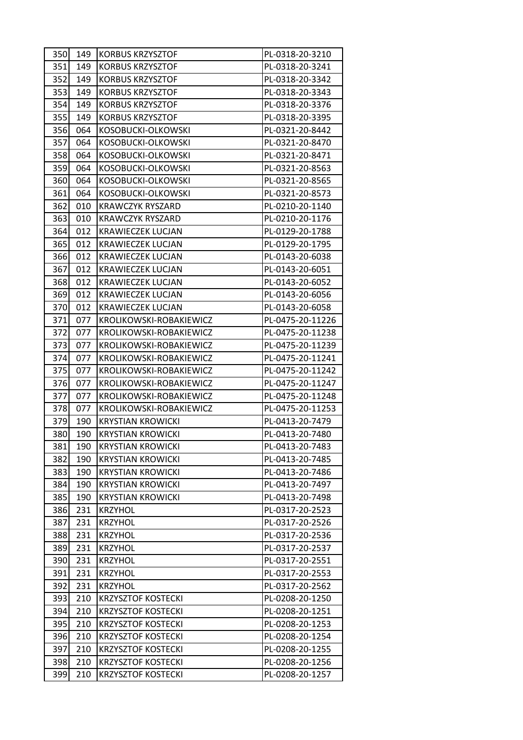| 350 | 149 | <b>KORBUS KRZYSZTOF</b>   | PL-0318-20-3210  |
|-----|-----|---------------------------|------------------|
| 351 | 149 | <b>KORBUS KRZYSZTOF</b>   | PL-0318-20-3241  |
| 352 | 149 | <b>KORBUS KRZYSZTOF</b>   | PL-0318-20-3342  |
| 353 | 149 | <b>KORBUS KRZYSZTOF</b>   | PL-0318-20-3343  |
| 354 | 149 | <b>KORBUS KRZYSZTOF</b>   | PL-0318-20-3376  |
| 355 | 149 | <b>KORBUS KRZYSZTOF</b>   | PL-0318-20-3395  |
| 356 | 064 | KOSOBUCKI-OLKOWSKI        | PL-0321-20-8442  |
| 357 | 064 | KOSOBUCKI-OLKOWSKI        | PL-0321-20-8470  |
| 358 | 064 | KOSOBUCKI-OLKOWSKI        | PL-0321-20-8471  |
| 359 | 064 | KOSOBUCKI-OLKOWSKI        | PL-0321-20-8563  |
| 360 | 064 | KOSOBUCKI-OLKOWSKI        | PL-0321-20-8565  |
| 361 | 064 | KOSOBUCKI-OLKOWSKI        | PL-0321-20-8573  |
| 362 | 010 | <b>KRAWCZYK RYSZARD</b>   | PL-0210-20-1140  |
| 363 | 010 | <b>KRAWCZYK RYSZARD</b>   | PL-0210-20-1176  |
| 364 | 012 | <b>KRAWIECZEK LUCJAN</b>  | PL-0129-20-1788  |
| 365 | 012 | <b>KRAWIECZEK LUCJAN</b>  | PL-0129-20-1795  |
| 366 | 012 | <b>KRAWIECZEK LUCJAN</b>  | PL-0143-20-6038  |
| 367 | 012 | <b>KRAWIECZEK LUCJAN</b>  | PL-0143-20-6051  |
| 368 | 012 | <b>KRAWIECZEK LUCJAN</b>  | PL-0143-20-6052  |
| 369 | 012 | <b>KRAWIECZEK LUCJAN</b>  | PL-0143-20-6056  |
| 370 | 012 | <b>KRAWIECZEK LUCJAN</b>  | PL-0143-20-6058  |
| 371 | 077 | KROLIKOWSKI-ROBAKIEWICZ   | PL-0475-20-11226 |
| 372 | 077 | KROLIKOWSKI-ROBAKIEWICZ   | PL-0475-20-11238 |
| 373 | 077 | KROLIKOWSKI-ROBAKIEWICZ   | PL-0475-20-11239 |
| 374 | 077 | KROLIKOWSKI-ROBAKIEWICZ   | PL-0475-20-11241 |
| 375 | 077 | KROLIKOWSKI-ROBAKIEWICZ   | PL-0475-20-11242 |
| 376 | 077 | KROLIKOWSKI-ROBAKIEWICZ   | PL-0475-20-11247 |
| 377 | 077 | KROLIKOWSKI-ROBAKIEWICZ   | PL-0475-20-11248 |
| 378 | 077 | KROLIKOWSKI-ROBAKIEWICZ   | PL-0475-20-11253 |
| 379 | 190 | <b>KRYSTIAN KROWICKI</b>  | PL-0413-20-7479  |
| 380 | 190 | <b>KRYSTIAN KROWICKI</b>  | PL-0413-20-7480  |
| 381 | 190 | <b>KRYSTIAN KROWICKI</b>  | PL-0413-20-7483  |
| 382 | 190 | <b>KRYSTIAN KROWICKI</b>  | PL-0413-20-7485  |
| 383 | 190 | <b>KRYSTIAN KROWICKI</b>  | PL-0413-20-7486  |
| 384 | 190 | <b>KRYSTIAN KROWICKI</b>  | PL-0413-20-7497  |
| 385 | 190 | <b>KRYSTIAN KROWICKI</b>  | PL-0413-20-7498  |
| 386 | 231 | <b>KRZYHOL</b>            | PL-0317-20-2523  |
| 387 | 231 | <b>KRZYHOL</b>            | PL-0317-20-2526  |
| 388 | 231 | <b>KRZYHOL</b>            | PL-0317-20-2536  |
| 389 | 231 | <b>KRZYHOL</b>            | PL-0317-20-2537  |
| 390 | 231 | <b>KRZYHOL</b>            | PL-0317-20-2551  |
| 391 | 231 | <b>KRZYHOL</b>            | PL-0317-20-2553  |
| 392 | 231 | <b>KRZYHOL</b>            | PL-0317-20-2562  |
| 393 | 210 | <b>KRZYSZTOF KOSTECKI</b> | PL-0208-20-1250  |
| 394 | 210 | <b>KRZYSZTOF KOSTECKI</b> | PL-0208-20-1251  |
| 395 | 210 | <b>KRZYSZTOF KOSTECKI</b> | PL-0208-20-1253  |
| 396 | 210 | <b>KRZYSZTOF KOSTECKI</b> | PL-0208-20-1254  |
| 397 | 210 | <b>KRZYSZTOF KOSTECKI</b> | PL-0208-20-1255  |
| 398 | 210 | <b>KRZYSZTOF KOSTECKI</b> | PL-0208-20-1256  |
| 399 | 210 | <b>KRZYSZTOF KOSTECKI</b> | PL-0208-20-1257  |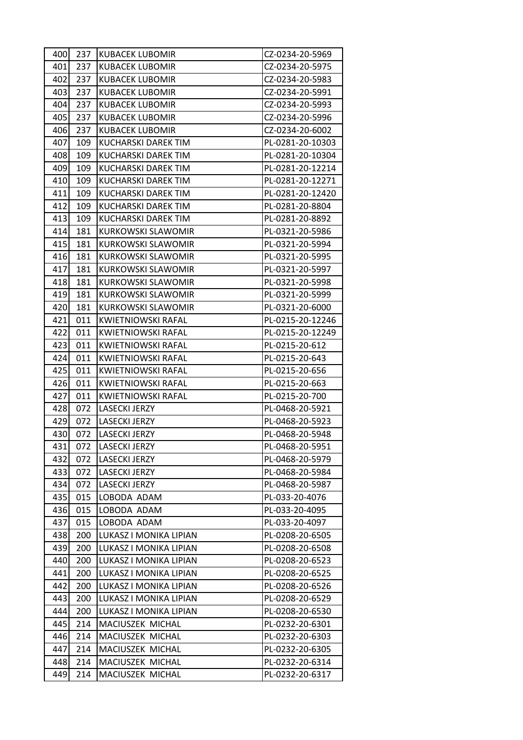| 400 <b> </b> | 237 | <b>KUBACEK LUBOMIR</b>    | CZ-0234-20-5969  |  |
|--------------|-----|---------------------------|------------------|--|
| 401          | 237 | <b>KUBACEK LUBOMIR</b>    | CZ-0234-20-5975  |  |
| 402          | 237 | KUBACEK LUBOMIR           | CZ-0234-20-5983  |  |
| 403          | 237 | <b>KUBACEK LUBOMIR</b>    | CZ-0234-20-5991  |  |
| 404          | 237 | <b>KUBACEK LUBOMIR</b>    | CZ-0234-20-5993  |  |
| 405          | 237 | <b>KUBACEK LUBOMIR</b>    | CZ-0234-20-5996  |  |
| 406          | 237 | <b>KUBACEK LUBOMIR</b>    | CZ-0234-20-6002  |  |
| 407          | 109 | KUCHARSKI DAREK TIM       | PL-0281-20-10303 |  |
| 408          | 109 | KUCHARSKI DAREK TIM       | PL-0281-20-10304 |  |
| 409          | 109 | KUCHARSKI DAREK TIM       | PL-0281-20-12214 |  |
| 410          | 109 | KUCHARSKI DAREK TIM       | PL-0281-20-12271 |  |
| 411          | 109 | KUCHARSKI DAREK TIM       | PL-0281-20-12420 |  |
| 412          | 109 | KUCHARSKI DAREK TIM       | PL-0281-20-8804  |  |
| 413          | 109 | KUCHARSKI DAREK TIM       | PL-0281-20-8892  |  |
| 414          | 181 | KURKOWSKI SLAWOMIR        | PL-0321-20-5986  |  |
| 415          | 181 | KURKOWSKI SLAWOMIR        | PL-0321-20-5994  |  |
| 416          | 181 | KURKOWSKI SLAWOMIR        | PL-0321-20-5995  |  |
| 417          | 181 | KURKOWSKI SLAWOMIR        | PL-0321-20-5997  |  |
| 418          | 181 | KURKOWSKI SLAWOMIR        | PL-0321-20-5998  |  |
| 419          | 181 | <b>KURKOWSKI SLAWOMIR</b> | PL-0321-20-5999  |  |
| 420          | 181 | KURKOWSKI SLAWOMIR        | PL-0321-20-6000  |  |
|              | 011 | <b>KWIETNIOWSKI RAFAL</b> | PL-0215-20-12246 |  |
| 421          |     |                           |                  |  |
| 422          | 011 | KWIETNIOWSKI RAFAL        | PL-0215-20-12249 |  |
| 423          | 011 | <b>KWIETNIOWSKI RAFAL</b> | PL-0215-20-612   |  |
| 424          | 011 | KWIETNIOWSKI RAFAL        | PL-0215-20-643   |  |
| 425          | 011 | KWIETNIOWSKI RAFAL        | PL-0215-20-656   |  |
| 426          | 011 | KWIETNIOWSKI RAFAL        | PL-0215-20-663   |  |
| 427          | 011 | KWIETNIOWSKI RAFAL        | PL-0215-20-700   |  |
| 428          | 072 | LASECKI JERZY             | PL-0468-20-5921  |  |
| 429          | 072 | LASECKI JERZY             | PL-0468-20-5923  |  |
| 430          | 072 | <b>LASECKI JERZY</b>      | PL-0468-20-5948  |  |
| 431          | 072 | LASECKI JERZY             | PL-0468-20-5951  |  |
| 432          | 072 | <b>LASECKI JERZY</b>      | PL-0468-20-5979  |  |
| 433          | 072 | LASECKI JERZY             | PL-0468-20-5984  |  |
| 434          | 072 | <b>LASECKI JERZY</b>      | PL-0468-20-5987  |  |
| 435          | 015 | LOBODA ADAM               | PL-033-20-4076   |  |
| 436          | 015 | LOBODA ADAM               | PL-033-20-4095   |  |
| 437          | 015 | LOBODA ADAM               | PL-033-20-4097   |  |
| 438          | 200 | LUKASZ I MONIKA LIPIAN    | PL-0208-20-6505  |  |
| 439          | 200 | LUKASZ I MONIKA LIPIAN    | PL-0208-20-6508  |  |
| 440          | 200 | LUKASZ I MONIKA LIPIAN    | PL-0208-20-6523  |  |
| 441          | 200 | LUKASZ I MONIKA LIPIAN    | PL-0208-20-6525  |  |
| 442          | 200 | LUKASZ I MONIKA LIPIAN    | PL-0208-20-6526  |  |
| 443          | 200 | LUKASZ I MONIKA LIPIAN    | PL-0208-20-6529  |  |
| 444          | 200 | LUKASZ I MONIKA LIPIAN    | PL-0208-20-6530  |  |
| 445          | 214 | MACIUSZEK MICHAL          | PL-0232-20-6301  |  |
| 446          | 214 | MACIUSZEK MICHAL          | PL-0232-20-6303  |  |
| 447          | 214 | MACIUSZEK MICHAL          | PL-0232-20-6305  |  |
| 448          | 214 | MACIUSZEK MICHAL          | PL-0232-20-6314  |  |
| 449          | 214 | MACIUSZEK MICHAL          | PL-0232-20-6317  |  |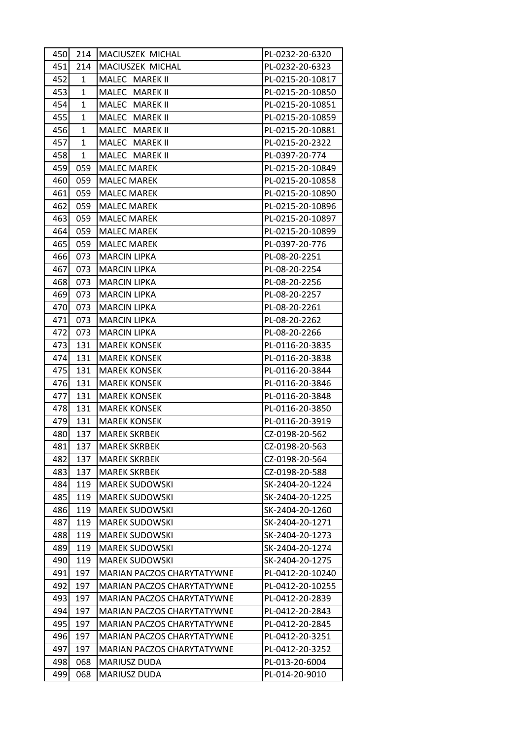| 450 | 214 | MACIUSZEK MICHAL           | PL-0232-20-6320  |
|-----|-----|----------------------------|------------------|
| 451 | 214 | MACIUSZEK MICHAL           | PL-0232-20-6323  |
| 452 | 1   | MALEC MAREK II             | PL-0215-20-10817 |
| 453 | 1   | MALEC MAREK II             | PL-0215-20-10850 |
| 454 | 1   | MALEC MAREK II             | PL-0215-20-10851 |
| 455 | 1   | MALEC MAREK II             | PL-0215-20-10859 |
| 456 | 1   | MALEC MAREK II             | PL-0215-20-10881 |
| 457 | 1   | MALEC MAREK II             | PL-0215-20-2322  |
| 458 | 1   | MALEC MAREK II             | PL-0397-20-774   |
| 459 | 059 | <b>MALEC MAREK</b>         | PL-0215-20-10849 |
| 460 | 059 | <b>MALEC MAREK</b>         | PL-0215-20-10858 |
| 461 | 059 | <b>MALEC MAREK</b>         | PL-0215-20-10890 |
| 462 | 059 | <b>MALEC MAREK</b>         | PL-0215-20-10896 |
| 463 | 059 | <b>MALEC MAREK</b>         | PL-0215-20-10897 |
| 464 | 059 | <b>MALEC MAREK</b>         | PL-0215-20-10899 |
| 465 | 059 | <b>MALEC MAREK</b>         | PL-0397-20-776   |
| 466 | 073 | <b>MARCIN LIPKA</b>        | PL-08-20-2251    |
| 467 | 073 | <b>MARCIN LIPKA</b>        | PL-08-20-2254    |
| 468 | 073 | <b>MARCIN LIPKA</b>        | PL-08-20-2256    |
| 469 | 073 | <b>MARCIN LIPKA</b>        | PL-08-20-2257    |
| 470 | 073 | <b>MARCIN LIPKA</b>        | PL-08-20-2261    |
| 471 | 073 | <b>MARCIN LIPKA</b>        | PL-08-20-2262    |
| 472 | 073 | <b>MARCIN LIPKA</b>        | PL-08-20-2266    |
| 473 | 131 | <b>MAREK KONSEK</b>        | PL-0116-20-3835  |
| 474 | 131 | <b>MAREK KONSEK</b>        | PL-0116-20-3838  |
| 475 | 131 | <b>MAREK KONSEK</b>        | PL-0116-20-3844  |
| 476 | 131 | <b>MAREK KONSEK</b>        | PL-0116-20-3846  |
| 477 | 131 | <b>MAREK KONSEK</b>        | PL-0116-20-3848  |
| 478 | 131 | <b>MAREK KONSEK</b>        | PL-0116-20-3850  |
| 479 | 131 | <b>MAREK KONSEK</b>        | PL-0116-20-3919  |
| 480 | 137 | <b>MAREK SKRBEK</b>        | CZ-0198-20-562   |
| 481 | 137 | <b>MAREK SKRBEK</b>        | CZ-0198-20-563   |
| 482 | 137 | <b>MAREK SKRBEK</b>        | CZ-0198-20-564   |
| 483 | 137 | <b>MAREK SKRBEK</b>        | CZ-0198-20-588   |
| 484 | 119 | <b>MAREK SUDOWSKI</b>      | SK-2404-20-1224  |
| 485 | 119 | <b>MAREK SUDOWSKI</b>      | SK-2404-20-1225  |
| 486 | 119 | <b>MAREK SUDOWSKI</b>      | SK-2404-20-1260  |
| 487 | 119 | <b>MAREK SUDOWSKI</b>      | SK-2404-20-1271  |
| 488 | 119 | <b>MAREK SUDOWSKI</b>      | SK-2404-20-1273  |
| 489 | 119 | <b>MAREK SUDOWSKI</b>      | SK-2404-20-1274  |
| 490 | 119 | <b>MAREK SUDOWSKI</b>      | SK-2404-20-1275  |
| 491 | 197 | MARIAN PACZOS CHARYTATYWNE | PL-0412-20-10240 |
| 492 | 197 | MARIAN PACZOS CHARYTATYWNE | PL-0412-20-10255 |
| 493 | 197 | MARIAN PACZOS CHARYTATYWNE | PL-0412-20-2839  |
| 494 | 197 | MARIAN PACZOS CHARYTATYWNE | PL-0412-20-2843  |
| 495 | 197 | MARIAN PACZOS CHARYTATYWNE | PL-0412-20-2845  |
| 496 | 197 | MARIAN PACZOS CHARYTATYWNE | PL-0412-20-3251  |
| 497 | 197 | MARIAN PACZOS CHARYTATYWNE | PL-0412-20-3252  |
| 498 | 068 | MARIUSZ DUDA               | PL-013-20-6004   |
| 499 | 068 | MARIUSZ DUDA               | PL-014-20-9010   |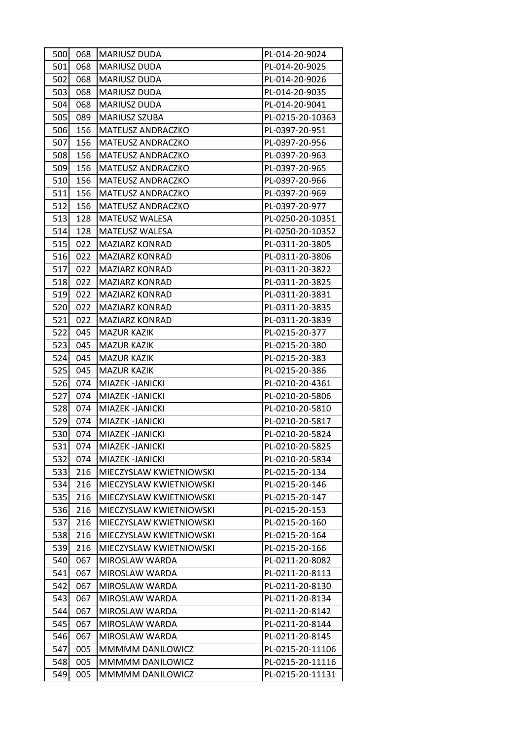| 501<br>068<br><b>MARIUSZ DUDA</b><br>PL-014-20-9025<br>502<br>MARIUSZ DUDA<br>PL-014-20-9026<br>068<br>503<br><b>MARIUSZ DUDA</b><br>PL-014-20-9035<br>068<br>068<br><b>MARIUSZ DUDA</b><br>PL-014-20-9041<br>504<br>505<br>089<br><b>MARIUSZ SZUBA</b><br>PL-0215-20-10363<br>506<br>156<br>MATEUSZ ANDRACZKO<br>PL-0397-20-951<br>507<br>156<br><b>MATEUSZ ANDRACZKO</b><br>PL-0397-20-956<br>508<br>PL-0397-20-963<br>156<br><b>MATEUSZ ANDRACZKO</b><br>156<br>MATEUSZ ANDRACZKO<br>PL-0397-20-965<br>509<br>510<br>156<br><b>MATEUSZ ANDRACZKO</b><br>PL-0397-20-966<br>511<br>156<br>MATEUSZ ANDRACZKO<br>PL-0397-20-969<br>512<br>156<br><b>MATEUSZ ANDRACZKO</b><br>PL-0397-20-977<br>513<br>MATEUSZ WALESA<br>PL-0250-20-10351<br>128<br>128<br>MATEUSZ WALESA<br>PL-0250-20-10352<br>514<br>515<br>022<br><b>MAZIARZ KONRAD</b><br>PL-0311-20-3805<br>516<br>022<br>PL-0311-20-3806<br><b>MAZIARZ KONRAD</b><br>517<br>022<br><b>MAZIARZ KONRAD</b><br>PL-0311-20-3822<br>518<br>022<br><b>MAZIARZ KONRAD</b><br>PL-0311-20-3825<br><b>MAZIARZ KONRAD</b><br>PL-0311-20-3831<br>519<br>022<br>520<br>022<br><b>MAZIARZ KONRAD</b><br>PL-0311-20-3835<br>521<br>022<br><b>MAZIARZ KONRAD</b><br>PL-0311-20-3839<br>522<br>045<br><b>MAZUR KAZIK</b><br>PL-0215-20-377<br>523<br>045<br><b>MAZUR KAZIK</b><br>PL-0215-20-380<br>524<br>045<br><b>MAZUR KAZIK</b><br>PL-0215-20-383<br>525<br>045<br><b>MAZUR KAZIK</b><br>PL-0215-20-386<br>526<br>PL-0210-20-4361<br>074<br>MIAZEK -JANICKI<br>527<br>074<br>MIAZEK -JANICKI<br>PL-0210-20-5806<br>528<br>074<br>MIAZEK -JANICKI<br>PL-0210-20-5810<br>529<br>PL-0210-20-5817<br>074<br>MIAZEK - JANICKI<br>530<br>074<br>MIAZEK -JANICKI<br>PL-0210-20-5824<br>531<br>PL-0210-20-5825<br>074<br>MIAZEK -JANICKI<br>532<br>074<br>MIAZEK - JANICKI<br>PL-0210-20-5834<br>533<br>MIECZYSLAW KWIETNIOWSKI<br>PL-0215-20-134<br>216<br>534<br>MIECZYSLAW KWIETNIOWSKI<br>PL-0215-20-146<br>216<br>535<br>216<br>MIECZYSLAW KWIETNIOWSKI<br>PL-0215-20-147<br>536<br>216<br>MIECZYSLAW KWIETNIOWSKI<br>PL-0215-20-153<br>537<br>216<br>MIECZYSLAW KWIETNIOWSKI<br>PL-0215-20-160<br>538<br>MIECZYSLAW KWIETNIOWSKI<br>PL-0215-20-164<br>216<br>539<br>PL-0215-20-166<br>216<br>MIECZYSLAW KWIETNIOWSKI<br>540<br>067<br>MIROSLAW WARDA<br>PL-0211-20-8082<br>541<br>067<br>PL-0211-20-8113<br>MIROSLAW WARDA<br>542<br>067<br>MIROSLAW WARDA<br>PL-0211-20-8130<br>543<br>067<br>MIROSLAW WARDA<br>PL-0211-20-8134<br>067<br>PL-0211-20-8142<br>544<br>MIROSLAW WARDA<br>545<br>067<br>MIROSLAW WARDA<br>PL-0211-20-8144<br>546<br>067<br>MIROSLAW WARDA<br>PL-0211-20-8145<br>547<br>005<br>MMMMM DANILOWICZ<br>PL-0215-20-11106<br>548<br>005<br>MMMMM DANILOWICZ<br>PL-0215-20-11116<br>549<br>005<br>MMMMM DANILOWICZ<br>PL-0215-20-11131 | 500 | 068 | <b>MARIUSZ DUDA</b> | PL-014-20-9024 |
|----------------------------------------------------------------------------------------------------------------------------------------------------------------------------------------------------------------------------------------------------------------------------------------------------------------------------------------------------------------------------------------------------------------------------------------------------------------------------------------------------------------------------------------------------------------------------------------------------------------------------------------------------------------------------------------------------------------------------------------------------------------------------------------------------------------------------------------------------------------------------------------------------------------------------------------------------------------------------------------------------------------------------------------------------------------------------------------------------------------------------------------------------------------------------------------------------------------------------------------------------------------------------------------------------------------------------------------------------------------------------------------------------------------------------------------------------------------------------------------------------------------------------------------------------------------------------------------------------------------------------------------------------------------------------------------------------------------------------------------------------------------------------------------------------------------------------------------------------------------------------------------------------------------------------------------------------------------------------------------------------------------------------------------------------------------------------------------------------------------------------------------------------------------------------------------------------------------------------------------------------------------------------------------------------------------------------------------------------------------------------------------------------------------------------------------------------------------------------------------------------------------------------------------------------------------------------------------------------------------------------------------------------------------------------------------------------------------------------------------------------------------------------------------------------|-----|-----|---------------------|----------------|
|                                                                                                                                                                                                                                                                                                                                                                                                                                                                                                                                                                                                                                                                                                                                                                                                                                                                                                                                                                                                                                                                                                                                                                                                                                                                                                                                                                                                                                                                                                                                                                                                                                                                                                                                                                                                                                                                                                                                                                                                                                                                                                                                                                                                                                                                                                                                                                                                                                                                                                                                                                                                                                                                                                                                                                                                    |     |     |                     |                |
|                                                                                                                                                                                                                                                                                                                                                                                                                                                                                                                                                                                                                                                                                                                                                                                                                                                                                                                                                                                                                                                                                                                                                                                                                                                                                                                                                                                                                                                                                                                                                                                                                                                                                                                                                                                                                                                                                                                                                                                                                                                                                                                                                                                                                                                                                                                                                                                                                                                                                                                                                                                                                                                                                                                                                                                                    |     |     |                     |                |
|                                                                                                                                                                                                                                                                                                                                                                                                                                                                                                                                                                                                                                                                                                                                                                                                                                                                                                                                                                                                                                                                                                                                                                                                                                                                                                                                                                                                                                                                                                                                                                                                                                                                                                                                                                                                                                                                                                                                                                                                                                                                                                                                                                                                                                                                                                                                                                                                                                                                                                                                                                                                                                                                                                                                                                                                    |     |     |                     |                |
|                                                                                                                                                                                                                                                                                                                                                                                                                                                                                                                                                                                                                                                                                                                                                                                                                                                                                                                                                                                                                                                                                                                                                                                                                                                                                                                                                                                                                                                                                                                                                                                                                                                                                                                                                                                                                                                                                                                                                                                                                                                                                                                                                                                                                                                                                                                                                                                                                                                                                                                                                                                                                                                                                                                                                                                                    |     |     |                     |                |
|                                                                                                                                                                                                                                                                                                                                                                                                                                                                                                                                                                                                                                                                                                                                                                                                                                                                                                                                                                                                                                                                                                                                                                                                                                                                                                                                                                                                                                                                                                                                                                                                                                                                                                                                                                                                                                                                                                                                                                                                                                                                                                                                                                                                                                                                                                                                                                                                                                                                                                                                                                                                                                                                                                                                                                                                    |     |     |                     |                |
|                                                                                                                                                                                                                                                                                                                                                                                                                                                                                                                                                                                                                                                                                                                                                                                                                                                                                                                                                                                                                                                                                                                                                                                                                                                                                                                                                                                                                                                                                                                                                                                                                                                                                                                                                                                                                                                                                                                                                                                                                                                                                                                                                                                                                                                                                                                                                                                                                                                                                                                                                                                                                                                                                                                                                                                                    |     |     |                     |                |
|                                                                                                                                                                                                                                                                                                                                                                                                                                                                                                                                                                                                                                                                                                                                                                                                                                                                                                                                                                                                                                                                                                                                                                                                                                                                                                                                                                                                                                                                                                                                                                                                                                                                                                                                                                                                                                                                                                                                                                                                                                                                                                                                                                                                                                                                                                                                                                                                                                                                                                                                                                                                                                                                                                                                                                                                    |     |     |                     |                |
|                                                                                                                                                                                                                                                                                                                                                                                                                                                                                                                                                                                                                                                                                                                                                                                                                                                                                                                                                                                                                                                                                                                                                                                                                                                                                                                                                                                                                                                                                                                                                                                                                                                                                                                                                                                                                                                                                                                                                                                                                                                                                                                                                                                                                                                                                                                                                                                                                                                                                                                                                                                                                                                                                                                                                                                                    |     |     |                     |                |
|                                                                                                                                                                                                                                                                                                                                                                                                                                                                                                                                                                                                                                                                                                                                                                                                                                                                                                                                                                                                                                                                                                                                                                                                                                                                                                                                                                                                                                                                                                                                                                                                                                                                                                                                                                                                                                                                                                                                                                                                                                                                                                                                                                                                                                                                                                                                                                                                                                                                                                                                                                                                                                                                                                                                                                                                    |     |     |                     |                |
|                                                                                                                                                                                                                                                                                                                                                                                                                                                                                                                                                                                                                                                                                                                                                                                                                                                                                                                                                                                                                                                                                                                                                                                                                                                                                                                                                                                                                                                                                                                                                                                                                                                                                                                                                                                                                                                                                                                                                                                                                                                                                                                                                                                                                                                                                                                                                                                                                                                                                                                                                                                                                                                                                                                                                                                                    |     |     |                     |                |
|                                                                                                                                                                                                                                                                                                                                                                                                                                                                                                                                                                                                                                                                                                                                                                                                                                                                                                                                                                                                                                                                                                                                                                                                                                                                                                                                                                                                                                                                                                                                                                                                                                                                                                                                                                                                                                                                                                                                                                                                                                                                                                                                                                                                                                                                                                                                                                                                                                                                                                                                                                                                                                                                                                                                                                                                    |     |     |                     |                |
|                                                                                                                                                                                                                                                                                                                                                                                                                                                                                                                                                                                                                                                                                                                                                                                                                                                                                                                                                                                                                                                                                                                                                                                                                                                                                                                                                                                                                                                                                                                                                                                                                                                                                                                                                                                                                                                                                                                                                                                                                                                                                                                                                                                                                                                                                                                                                                                                                                                                                                                                                                                                                                                                                                                                                                                                    |     |     |                     |                |
|                                                                                                                                                                                                                                                                                                                                                                                                                                                                                                                                                                                                                                                                                                                                                                                                                                                                                                                                                                                                                                                                                                                                                                                                                                                                                                                                                                                                                                                                                                                                                                                                                                                                                                                                                                                                                                                                                                                                                                                                                                                                                                                                                                                                                                                                                                                                                                                                                                                                                                                                                                                                                                                                                                                                                                                                    |     |     |                     |                |
|                                                                                                                                                                                                                                                                                                                                                                                                                                                                                                                                                                                                                                                                                                                                                                                                                                                                                                                                                                                                                                                                                                                                                                                                                                                                                                                                                                                                                                                                                                                                                                                                                                                                                                                                                                                                                                                                                                                                                                                                                                                                                                                                                                                                                                                                                                                                                                                                                                                                                                                                                                                                                                                                                                                                                                                                    |     |     |                     |                |
|                                                                                                                                                                                                                                                                                                                                                                                                                                                                                                                                                                                                                                                                                                                                                                                                                                                                                                                                                                                                                                                                                                                                                                                                                                                                                                                                                                                                                                                                                                                                                                                                                                                                                                                                                                                                                                                                                                                                                                                                                                                                                                                                                                                                                                                                                                                                                                                                                                                                                                                                                                                                                                                                                                                                                                                                    |     |     |                     |                |
|                                                                                                                                                                                                                                                                                                                                                                                                                                                                                                                                                                                                                                                                                                                                                                                                                                                                                                                                                                                                                                                                                                                                                                                                                                                                                                                                                                                                                                                                                                                                                                                                                                                                                                                                                                                                                                                                                                                                                                                                                                                                                                                                                                                                                                                                                                                                                                                                                                                                                                                                                                                                                                                                                                                                                                                                    |     |     |                     |                |
|                                                                                                                                                                                                                                                                                                                                                                                                                                                                                                                                                                                                                                                                                                                                                                                                                                                                                                                                                                                                                                                                                                                                                                                                                                                                                                                                                                                                                                                                                                                                                                                                                                                                                                                                                                                                                                                                                                                                                                                                                                                                                                                                                                                                                                                                                                                                                                                                                                                                                                                                                                                                                                                                                                                                                                                                    |     |     |                     |                |
|                                                                                                                                                                                                                                                                                                                                                                                                                                                                                                                                                                                                                                                                                                                                                                                                                                                                                                                                                                                                                                                                                                                                                                                                                                                                                                                                                                                                                                                                                                                                                                                                                                                                                                                                                                                                                                                                                                                                                                                                                                                                                                                                                                                                                                                                                                                                                                                                                                                                                                                                                                                                                                                                                                                                                                                                    |     |     |                     |                |
|                                                                                                                                                                                                                                                                                                                                                                                                                                                                                                                                                                                                                                                                                                                                                                                                                                                                                                                                                                                                                                                                                                                                                                                                                                                                                                                                                                                                                                                                                                                                                                                                                                                                                                                                                                                                                                                                                                                                                                                                                                                                                                                                                                                                                                                                                                                                                                                                                                                                                                                                                                                                                                                                                                                                                                                                    |     |     |                     |                |
|                                                                                                                                                                                                                                                                                                                                                                                                                                                                                                                                                                                                                                                                                                                                                                                                                                                                                                                                                                                                                                                                                                                                                                                                                                                                                                                                                                                                                                                                                                                                                                                                                                                                                                                                                                                                                                                                                                                                                                                                                                                                                                                                                                                                                                                                                                                                                                                                                                                                                                                                                                                                                                                                                                                                                                                                    |     |     |                     |                |
|                                                                                                                                                                                                                                                                                                                                                                                                                                                                                                                                                                                                                                                                                                                                                                                                                                                                                                                                                                                                                                                                                                                                                                                                                                                                                                                                                                                                                                                                                                                                                                                                                                                                                                                                                                                                                                                                                                                                                                                                                                                                                                                                                                                                                                                                                                                                                                                                                                                                                                                                                                                                                                                                                                                                                                                                    |     |     |                     |                |
|                                                                                                                                                                                                                                                                                                                                                                                                                                                                                                                                                                                                                                                                                                                                                                                                                                                                                                                                                                                                                                                                                                                                                                                                                                                                                                                                                                                                                                                                                                                                                                                                                                                                                                                                                                                                                                                                                                                                                                                                                                                                                                                                                                                                                                                                                                                                                                                                                                                                                                                                                                                                                                                                                                                                                                                                    |     |     |                     |                |
|                                                                                                                                                                                                                                                                                                                                                                                                                                                                                                                                                                                                                                                                                                                                                                                                                                                                                                                                                                                                                                                                                                                                                                                                                                                                                                                                                                                                                                                                                                                                                                                                                                                                                                                                                                                                                                                                                                                                                                                                                                                                                                                                                                                                                                                                                                                                                                                                                                                                                                                                                                                                                                                                                                                                                                                                    |     |     |                     |                |
|                                                                                                                                                                                                                                                                                                                                                                                                                                                                                                                                                                                                                                                                                                                                                                                                                                                                                                                                                                                                                                                                                                                                                                                                                                                                                                                                                                                                                                                                                                                                                                                                                                                                                                                                                                                                                                                                                                                                                                                                                                                                                                                                                                                                                                                                                                                                                                                                                                                                                                                                                                                                                                                                                                                                                                                                    |     |     |                     |                |
|                                                                                                                                                                                                                                                                                                                                                                                                                                                                                                                                                                                                                                                                                                                                                                                                                                                                                                                                                                                                                                                                                                                                                                                                                                                                                                                                                                                                                                                                                                                                                                                                                                                                                                                                                                                                                                                                                                                                                                                                                                                                                                                                                                                                                                                                                                                                                                                                                                                                                                                                                                                                                                                                                                                                                                                                    |     |     |                     |                |
|                                                                                                                                                                                                                                                                                                                                                                                                                                                                                                                                                                                                                                                                                                                                                                                                                                                                                                                                                                                                                                                                                                                                                                                                                                                                                                                                                                                                                                                                                                                                                                                                                                                                                                                                                                                                                                                                                                                                                                                                                                                                                                                                                                                                                                                                                                                                                                                                                                                                                                                                                                                                                                                                                                                                                                                                    |     |     |                     |                |
|                                                                                                                                                                                                                                                                                                                                                                                                                                                                                                                                                                                                                                                                                                                                                                                                                                                                                                                                                                                                                                                                                                                                                                                                                                                                                                                                                                                                                                                                                                                                                                                                                                                                                                                                                                                                                                                                                                                                                                                                                                                                                                                                                                                                                                                                                                                                                                                                                                                                                                                                                                                                                                                                                                                                                                                                    |     |     |                     |                |
|                                                                                                                                                                                                                                                                                                                                                                                                                                                                                                                                                                                                                                                                                                                                                                                                                                                                                                                                                                                                                                                                                                                                                                                                                                                                                                                                                                                                                                                                                                                                                                                                                                                                                                                                                                                                                                                                                                                                                                                                                                                                                                                                                                                                                                                                                                                                                                                                                                                                                                                                                                                                                                                                                                                                                                                                    |     |     |                     |                |
|                                                                                                                                                                                                                                                                                                                                                                                                                                                                                                                                                                                                                                                                                                                                                                                                                                                                                                                                                                                                                                                                                                                                                                                                                                                                                                                                                                                                                                                                                                                                                                                                                                                                                                                                                                                                                                                                                                                                                                                                                                                                                                                                                                                                                                                                                                                                                                                                                                                                                                                                                                                                                                                                                                                                                                                                    |     |     |                     |                |
|                                                                                                                                                                                                                                                                                                                                                                                                                                                                                                                                                                                                                                                                                                                                                                                                                                                                                                                                                                                                                                                                                                                                                                                                                                                                                                                                                                                                                                                                                                                                                                                                                                                                                                                                                                                                                                                                                                                                                                                                                                                                                                                                                                                                                                                                                                                                                                                                                                                                                                                                                                                                                                                                                                                                                                                                    |     |     |                     |                |
|                                                                                                                                                                                                                                                                                                                                                                                                                                                                                                                                                                                                                                                                                                                                                                                                                                                                                                                                                                                                                                                                                                                                                                                                                                                                                                                                                                                                                                                                                                                                                                                                                                                                                                                                                                                                                                                                                                                                                                                                                                                                                                                                                                                                                                                                                                                                                                                                                                                                                                                                                                                                                                                                                                                                                                                                    |     |     |                     |                |
|                                                                                                                                                                                                                                                                                                                                                                                                                                                                                                                                                                                                                                                                                                                                                                                                                                                                                                                                                                                                                                                                                                                                                                                                                                                                                                                                                                                                                                                                                                                                                                                                                                                                                                                                                                                                                                                                                                                                                                                                                                                                                                                                                                                                                                                                                                                                                                                                                                                                                                                                                                                                                                                                                                                                                                                                    |     |     |                     |                |
|                                                                                                                                                                                                                                                                                                                                                                                                                                                                                                                                                                                                                                                                                                                                                                                                                                                                                                                                                                                                                                                                                                                                                                                                                                                                                                                                                                                                                                                                                                                                                                                                                                                                                                                                                                                                                                                                                                                                                                                                                                                                                                                                                                                                                                                                                                                                                                                                                                                                                                                                                                                                                                                                                                                                                                                                    |     |     |                     |                |
|                                                                                                                                                                                                                                                                                                                                                                                                                                                                                                                                                                                                                                                                                                                                                                                                                                                                                                                                                                                                                                                                                                                                                                                                                                                                                                                                                                                                                                                                                                                                                                                                                                                                                                                                                                                                                                                                                                                                                                                                                                                                                                                                                                                                                                                                                                                                                                                                                                                                                                                                                                                                                                                                                                                                                                                                    |     |     |                     |                |
|                                                                                                                                                                                                                                                                                                                                                                                                                                                                                                                                                                                                                                                                                                                                                                                                                                                                                                                                                                                                                                                                                                                                                                                                                                                                                                                                                                                                                                                                                                                                                                                                                                                                                                                                                                                                                                                                                                                                                                                                                                                                                                                                                                                                                                                                                                                                                                                                                                                                                                                                                                                                                                                                                                                                                                                                    |     |     |                     |                |
|                                                                                                                                                                                                                                                                                                                                                                                                                                                                                                                                                                                                                                                                                                                                                                                                                                                                                                                                                                                                                                                                                                                                                                                                                                                                                                                                                                                                                                                                                                                                                                                                                                                                                                                                                                                                                                                                                                                                                                                                                                                                                                                                                                                                                                                                                                                                                                                                                                                                                                                                                                                                                                                                                                                                                                                                    |     |     |                     |                |
|                                                                                                                                                                                                                                                                                                                                                                                                                                                                                                                                                                                                                                                                                                                                                                                                                                                                                                                                                                                                                                                                                                                                                                                                                                                                                                                                                                                                                                                                                                                                                                                                                                                                                                                                                                                                                                                                                                                                                                                                                                                                                                                                                                                                                                                                                                                                                                                                                                                                                                                                                                                                                                                                                                                                                                                                    |     |     |                     |                |
|                                                                                                                                                                                                                                                                                                                                                                                                                                                                                                                                                                                                                                                                                                                                                                                                                                                                                                                                                                                                                                                                                                                                                                                                                                                                                                                                                                                                                                                                                                                                                                                                                                                                                                                                                                                                                                                                                                                                                                                                                                                                                                                                                                                                                                                                                                                                                                                                                                                                                                                                                                                                                                                                                                                                                                                                    |     |     |                     |                |
|                                                                                                                                                                                                                                                                                                                                                                                                                                                                                                                                                                                                                                                                                                                                                                                                                                                                                                                                                                                                                                                                                                                                                                                                                                                                                                                                                                                                                                                                                                                                                                                                                                                                                                                                                                                                                                                                                                                                                                                                                                                                                                                                                                                                                                                                                                                                                                                                                                                                                                                                                                                                                                                                                                                                                                                                    |     |     |                     |                |
|                                                                                                                                                                                                                                                                                                                                                                                                                                                                                                                                                                                                                                                                                                                                                                                                                                                                                                                                                                                                                                                                                                                                                                                                                                                                                                                                                                                                                                                                                                                                                                                                                                                                                                                                                                                                                                                                                                                                                                                                                                                                                                                                                                                                                                                                                                                                                                                                                                                                                                                                                                                                                                                                                                                                                                                                    |     |     |                     |                |
|                                                                                                                                                                                                                                                                                                                                                                                                                                                                                                                                                                                                                                                                                                                                                                                                                                                                                                                                                                                                                                                                                                                                                                                                                                                                                                                                                                                                                                                                                                                                                                                                                                                                                                                                                                                                                                                                                                                                                                                                                                                                                                                                                                                                                                                                                                                                                                                                                                                                                                                                                                                                                                                                                                                                                                                                    |     |     |                     |                |
|                                                                                                                                                                                                                                                                                                                                                                                                                                                                                                                                                                                                                                                                                                                                                                                                                                                                                                                                                                                                                                                                                                                                                                                                                                                                                                                                                                                                                                                                                                                                                                                                                                                                                                                                                                                                                                                                                                                                                                                                                                                                                                                                                                                                                                                                                                                                                                                                                                                                                                                                                                                                                                                                                                                                                                                                    |     |     |                     |                |
|                                                                                                                                                                                                                                                                                                                                                                                                                                                                                                                                                                                                                                                                                                                                                                                                                                                                                                                                                                                                                                                                                                                                                                                                                                                                                                                                                                                                                                                                                                                                                                                                                                                                                                                                                                                                                                                                                                                                                                                                                                                                                                                                                                                                                                                                                                                                                                                                                                                                                                                                                                                                                                                                                                                                                                                                    |     |     |                     |                |
|                                                                                                                                                                                                                                                                                                                                                                                                                                                                                                                                                                                                                                                                                                                                                                                                                                                                                                                                                                                                                                                                                                                                                                                                                                                                                                                                                                                                                                                                                                                                                                                                                                                                                                                                                                                                                                                                                                                                                                                                                                                                                                                                                                                                                                                                                                                                                                                                                                                                                                                                                                                                                                                                                                                                                                                                    |     |     |                     |                |
|                                                                                                                                                                                                                                                                                                                                                                                                                                                                                                                                                                                                                                                                                                                                                                                                                                                                                                                                                                                                                                                                                                                                                                                                                                                                                                                                                                                                                                                                                                                                                                                                                                                                                                                                                                                                                                                                                                                                                                                                                                                                                                                                                                                                                                                                                                                                                                                                                                                                                                                                                                                                                                                                                                                                                                                                    |     |     |                     |                |
|                                                                                                                                                                                                                                                                                                                                                                                                                                                                                                                                                                                                                                                                                                                                                                                                                                                                                                                                                                                                                                                                                                                                                                                                                                                                                                                                                                                                                                                                                                                                                                                                                                                                                                                                                                                                                                                                                                                                                                                                                                                                                                                                                                                                                                                                                                                                                                                                                                                                                                                                                                                                                                                                                                                                                                                                    |     |     |                     |                |
|                                                                                                                                                                                                                                                                                                                                                                                                                                                                                                                                                                                                                                                                                                                                                                                                                                                                                                                                                                                                                                                                                                                                                                                                                                                                                                                                                                                                                                                                                                                                                                                                                                                                                                                                                                                                                                                                                                                                                                                                                                                                                                                                                                                                                                                                                                                                                                                                                                                                                                                                                                                                                                                                                                                                                                                                    |     |     |                     |                |
|                                                                                                                                                                                                                                                                                                                                                                                                                                                                                                                                                                                                                                                                                                                                                                                                                                                                                                                                                                                                                                                                                                                                                                                                                                                                                                                                                                                                                                                                                                                                                                                                                                                                                                                                                                                                                                                                                                                                                                                                                                                                                                                                                                                                                                                                                                                                                                                                                                                                                                                                                                                                                                                                                                                                                                                                    |     |     |                     |                |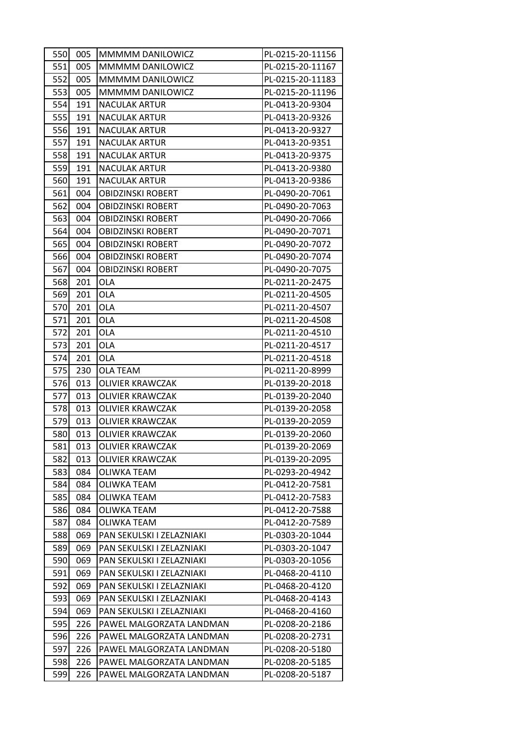| 550 | 005 | MMMMM DANILOWICZ          | PL-0215-20-11156 |
|-----|-----|---------------------------|------------------|
| 551 | 005 | MMMMM DANILOWICZ          | PL-0215-20-11167 |
| 552 | 005 | MMMMM DANILOWICZ          | PL-0215-20-11183 |
| 553 | 005 | MMMMM DANILOWICZ          | PL-0215-20-11196 |
| 554 | 191 | <b>NACULAK ARTUR</b>      | PL-0413-20-9304  |
| 555 | 191 | <b>NACULAK ARTUR</b>      | PL-0413-20-9326  |
| 556 | 191 | <b>NACULAK ARTUR</b>      | PL-0413-20-9327  |
| 557 | 191 | <b>NACULAK ARTUR</b>      | PL-0413-20-9351  |
| 558 | 191 | <b>NACULAK ARTUR</b>      | PL-0413-20-9375  |
| 559 | 191 | <b>NACULAK ARTUR</b>      | PL-0413-20-9380  |
| 560 | 191 | <b>NACULAK ARTUR</b>      | PL-0413-20-9386  |
| 561 | 004 | <b>OBIDZINSKI ROBERT</b>  | PL-0490-20-7061  |
| 562 | 004 | <b>OBIDZINSKI ROBERT</b>  | PL-0490-20-7063  |
| 563 | 004 | <b>OBIDZINSKI ROBERT</b>  | PL-0490-20-7066  |
| 564 | 004 | <b>OBIDZINSKI ROBERT</b>  | PL-0490-20-7071  |
| 565 | 004 | OBIDZINSKI ROBERT         | PL-0490-20-7072  |
| 566 | 004 | <b>OBIDZINSKI ROBERT</b>  | PL-0490-20-7074  |
| 567 | 004 | <b>OBIDZINSKI ROBERT</b>  | PL-0490-20-7075  |
| 568 | 201 | <b>OLA</b>                | PL-0211-20-2475  |
| 569 | 201 | <b>OLA</b>                | PL-0211-20-4505  |
| 570 | 201 | OLA                       | PL-0211-20-4507  |
| 571 | 201 | <b>OLA</b>                | PL-0211-20-4508  |
| 572 | 201 | <b>OLA</b>                | PL-0211-20-4510  |
| 573 | 201 | OLA                       | PL-0211-20-4517  |
| 574 | 201 | <b>OLA</b>                | PL-0211-20-4518  |
| 575 | 230 | <b>OLA TEAM</b>           | PL-0211-20-8999  |
| 576 | 013 | <b>OLIVIER KRAWCZAK</b>   | PL-0139-20-2018  |
| 577 | 013 | <b>OLIVIER KRAWCZAK</b>   | PL-0139-20-2040  |
| 578 | 013 | <b>OLIVIER KRAWCZAK</b>   | PL-0139-20-2058  |
| 579 | 013 | <b>OLIVIER KRAWCZAK</b>   | PL-0139-20-2059  |
| 580 | 013 | <b>OLIVIER KRAWCZAK</b>   | PL-0139-20-2060  |
| 581 | 013 | <b>OLIVIER KRAWCZAK</b>   | PL-0139-20-2069  |
| 582 | 013 | OLIVIER KRAWCZAK          | PL-0139-20-2095  |
| 583 | 084 | <b>OLIWKA TEAM</b>        | PL-0293-20-4942  |
| 584 | 084 | OLIWKA TEAM               | PL-0412-20-7581  |
| 585 | 084 | OLIWKA TEAM               | PL-0412-20-7583  |
| 586 | 084 | OLIWKA TEAM               | PL-0412-20-7588  |
| 587 | 084 | OLIWKA TEAM               | PL-0412-20-7589  |
| 588 | 069 | PAN SEKULSKI I ZELAZNIAKI | PL-0303-20-1044  |
| 589 | 069 | PAN SEKULSKI I ZELAZNIAKI | PL-0303-20-1047  |
| 590 | 069 | PAN SEKULSKI I ZELAZNIAKI | PL-0303-20-1056  |
| 591 | 069 | PAN SEKULSKI I ZELAZNIAKI | PL-0468-20-4110  |
| 592 | 069 | PAN SEKULSKI I ZELAZNIAKI | PL-0468-20-4120  |
| 593 | 069 | PAN SEKULSKI I ZELAZNIAKI | PL-0468-20-4143  |
| 594 | 069 | PAN SEKULSKI I ZELAZNIAKI | PL-0468-20-4160  |
| 595 | 226 | PAWEL MALGORZATA LANDMAN  | PL-0208-20-2186  |
| 596 | 226 | PAWEL MALGORZATA LANDMAN  | PL-0208-20-2731  |
| 597 | 226 | PAWEL MALGORZATA LANDMAN  | PL-0208-20-5180  |
| 598 | 226 | PAWEL MALGORZATA LANDMAN  | PL-0208-20-5185  |
| 599 | 226 | PAWEL MALGORZATA LANDMAN  | PL-0208-20-5187  |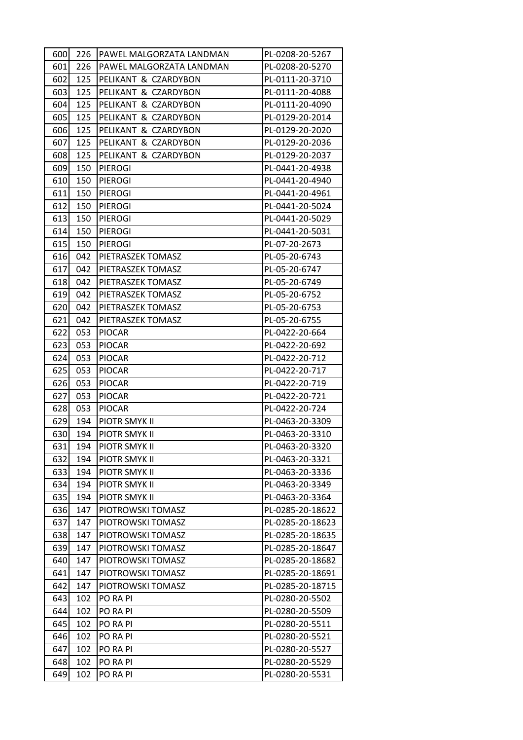| 600 | 226 | PAWEL MALGORZATA LANDMAN | PL-0208-20-5267  |
|-----|-----|--------------------------|------------------|
| 601 | 226 | PAWEL MALGORZATA LANDMAN | PL-0208-20-5270  |
| 602 | 125 | PELIKANT & CZARDYBON     | PL-0111-20-3710  |
| 603 | 125 | PELIKANT & CZARDYBON     | PL-0111-20-4088  |
| 604 | 125 | PELIKANT & CZARDYBON     | PL-0111-20-4090  |
| 605 | 125 | PELIKANT & CZARDYBON     | PL-0129-20-2014  |
| 606 | 125 | PELIKANT & CZARDYBON     | PL-0129-20-2020  |
| 607 | 125 | PELIKANT & CZARDYBON     | PL-0129-20-2036  |
| 608 | 125 | PELIKANT & CZARDYBON     | PL-0129-20-2037  |
| 609 | 150 | <b>PIEROGI</b>           | PL-0441-20-4938  |
| 610 | 150 | <b>PIEROGI</b>           | PL-0441-20-4940  |
| 611 | 150 | <b>PIEROGI</b>           | PL-0441-20-4961  |
| 612 | 150 | PIEROGI                  | PL-0441-20-5024  |
| 613 | 150 | <b>PIEROGI</b>           | PL-0441-20-5029  |
| 614 | 150 | <b>PIEROGI</b>           | PL-0441-20-5031  |
| 615 | 150 | <b>PIEROGI</b>           | PL-07-20-2673    |
| 616 | 042 | PIETRASZEK TOMASZ        | PL-05-20-6743    |
| 617 | 042 | PIETRASZEK TOMASZ        | PL-05-20-6747    |
| 618 | 042 | PIETRASZEK TOMASZ        | PL-05-20-6749    |
| 619 | 042 | PIETRASZEK TOMASZ        | PL-05-20-6752    |
| 620 | 042 | PIETRASZEK TOMASZ        | PL-05-20-6753    |
| 621 | 042 | PIETRASZEK TOMASZ        | PL-05-20-6755    |
| 622 | 053 | <b>PIOCAR</b>            | PL-0422-20-664   |
| 623 | 053 | <b>PIOCAR</b>            | PL-0422-20-692   |
| 624 | 053 | <b>PIOCAR</b>            | PL-0422-20-712   |
| 625 | 053 | <b>PIOCAR</b>            | PL-0422-20-717   |
| 626 | 053 | <b>PIOCAR</b>            | PL-0422-20-719   |
| 627 | 053 | <b>PIOCAR</b>            | PL-0422-20-721   |
| 628 | 053 | <b>PIOCAR</b>            | PL-0422-20-724   |
| 629 | 194 | PIOTR SMYK II            | PL-0463-20-3309  |
| 630 | 194 | PIOTR SMYK II            | PL-0463-20-3310  |
| 631 | 194 | PIOTR SMYK II            | PL-0463-20-3320  |
| 632 | 194 | PIOTR SMYK II            | PL-0463-20-3321  |
| 633 | 194 | PIOTR SMYK II            | PL-0463-20-3336  |
| 634 | 194 | PIOTR SMYK II            | PL-0463-20-3349  |
| 635 | 194 | PIOTR SMYK II            | PL-0463-20-3364  |
| 636 | 147 | PIOTROWSKI TOMASZ        | PL-0285-20-18622 |
| 637 | 147 | PIOTROWSKI TOMASZ        | PL-0285-20-18623 |
| 638 | 147 | PIOTROWSKI TOMASZ        | PL-0285-20-18635 |
| 639 | 147 | PIOTROWSKI TOMASZ        | PL-0285-20-18647 |
| 640 | 147 | PIOTROWSKI TOMASZ        | PL-0285-20-18682 |
| 641 | 147 | PIOTROWSKI TOMASZ        | PL-0285-20-18691 |
| 642 | 147 | PIOTROWSKI TOMASZ        | PL-0285-20-18715 |
| 643 | 102 | PO RA PI                 | PL-0280-20-5502  |
| 644 | 102 | PO RA PI                 | PL-0280-20-5509  |
| 645 | 102 | PO RA PI                 | PL-0280-20-5511  |
| 646 | 102 | PO RA PI                 | PL-0280-20-5521  |
| 647 | 102 | PO RA PI                 | PL-0280-20-5527  |
| 648 | 102 | PO RA PI                 | PL-0280-20-5529  |
| 649 | 102 | PO RA PI                 | PL-0280-20-5531  |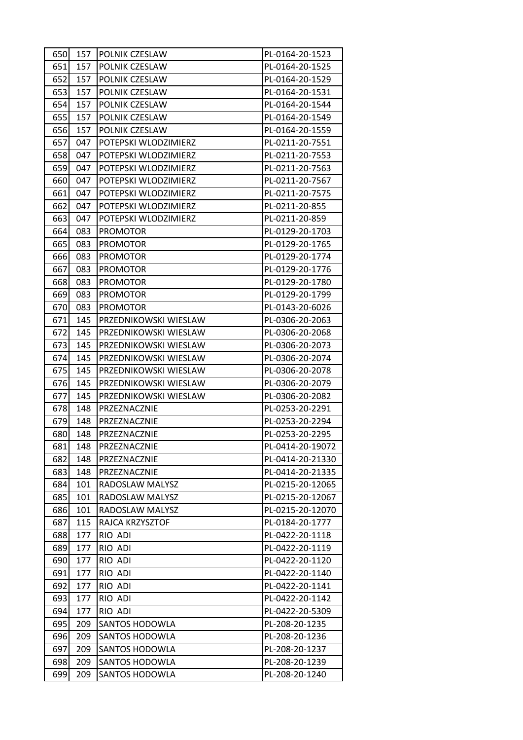| 650 | 157 | POLNIK CZESLAW        | PL-0164-20-1523  |
|-----|-----|-----------------------|------------------|
| 651 | 157 | POLNIK CZESLAW        | PL-0164-20-1525  |
| 652 | 157 | POLNIK CZESLAW        | PL-0164-20-1529  |
| 653 | 157 | POLNIK CZESLAW        | PL-0164-20-1531  |
| 654 | 157 | POLNIK CZESLAW        | PL-0164-20-1544  |
| 655 | 157 | POLNIK CZESLAW        | PL-0164-20-1549  |
| 656 | 157 | POLNIK CZESLAW        | PL-0164-20-1559  |
| 657 | 047 | POTEPSKI WLODZIMIERZ  | PL-0211-20-7551  |
| 658 | 047 | POTEPSKI WLODZIMIERZ  | PL-0211-20-7553  |
| 659 | 047 | POTEPSKI WLODZIMIERZ  | PL-0211-20-7563  |
| 660 | 047 | POTEPSKI WLODZIMIERZ  | PL-0211-20-7567  |
| 661 | 047 | POTEPSKI WLODZIMIERZ  | PL-0211-20-7575  |
| 662 | 047 | POTEPSKI WLODZIMIERZ  | PL-0211-20-855   |
| 663 | 047 | POTEPSKI WLODZIMIERZ  | PL-0211-20-859   |
| 664 | 083 | <b>PROMOTOR</b>       | PL-0129-20-1703  |
| 665 | 083 | <b>PROMOTOR</b>       | PL-0129-20-1765  |
| 666 | 083 | <b>PROMOTOR</b>       | PL-0129-20-1774  |
| 667 | 083 | <b>PROMOTOR</b>       | PL-0129-20-1776  |
| 668 | 083 | <b>PROMOTOR</b>       | PL-0129-20-1780  |
| 669 | 083 | <b>PROMOTOR</b>       | PL-0129-20-1799  |
| 670 | 083 | <b>PROMOTOR</b>       | PL-0143-20-6026  |
| 671 | 145 | PRZEDNIKOWSKI WIESLAW | PL-0306-20-2063  |
| 672 | 145 | PRZEDNIKOWSKI WIESLAW | PL-0306-20-2068  |
| 673 | 145 | PRZEDNIKOWSKI WIESLAW | PL-0306-20-2073  |
| 674 | 145 | PRZEDNIKOWSKI WIESLAW | PL-0306-20-2074  |
| 675 | 145 | PRZEDNIKOWSKI WIESLAW | PL-0306-20-2078  |
| 676 | 145 | PRZEDNIKOWSKI WIESLAW | PL-0306-20-2079  |
| 677 | 145 | PRZEDNIKOWSKI WIESLAW | PL-0306-20-2082  |
| 678 | 148 | PRZEZNACZNIE          | PL-0253-20-2291  |
| 679 | 148 | PRZEZNACZNIE          | PL-0253-20-2294  |
| 680 | 148 | PRZEZNACZNIE          | PL-0253-20-2295  |
| 681 | 148 | PRZEZNACZNIE          | PL-0414-20-19072 |
| 682 | 148 | PRZEZNACZNIE          | PL-0414-20-21330 |
| 683 | 148 | PRZEZNACZNIE          | PL-0414-20-21335 |
| 684 | 101 | RADOSLAW MALYSZ       | PL-0215-20-12065 |
| 685 | 101 | RADOSLAW MALYSZ       | PL-0215-20-12067 |
| 686 | 101 | RADOSLAW MALYSZ       | PL-0215-20-12070 |
| 687 | 115 | RAJCA KRZYSZTOF       | PL-0184-20-1777  |
| 688 | 177 | RIO ADI               | PL-0422-20-1118  |
| 689 | 177 | RIO ADI               | PL-0422-20-1119  |
| 690 | 177 | RIO ADI               | PL-0422-20-1120  |
| 691 | 177 | RIO ADI               | PL-0422-20-1140  |
| 692 | 177 | RIO ADI               | PL-0422-20-1141  |
| 693 | 177 | RIO ADI               | PL-0422-20-1142  |
| 694 | 177 | RIO ADI               | PL-0422-20-5309  |
| 695 | 209 | SANTOS HODOWLA        | PL-208-20-1235   |
| 696 | 209 | <b>SANTOS HODOWLA</b> | PL-208-20-1236   |
| 697 | 209 | SANTOS HODOWLA        | PL-208-20-1237   |
| 698 | 209 | <b>SANTOS HODOWLA</b> | PL-208-20-1239   |
| 699 | 209 | SANTOS HODOWLA        | PL-208-20-1240   |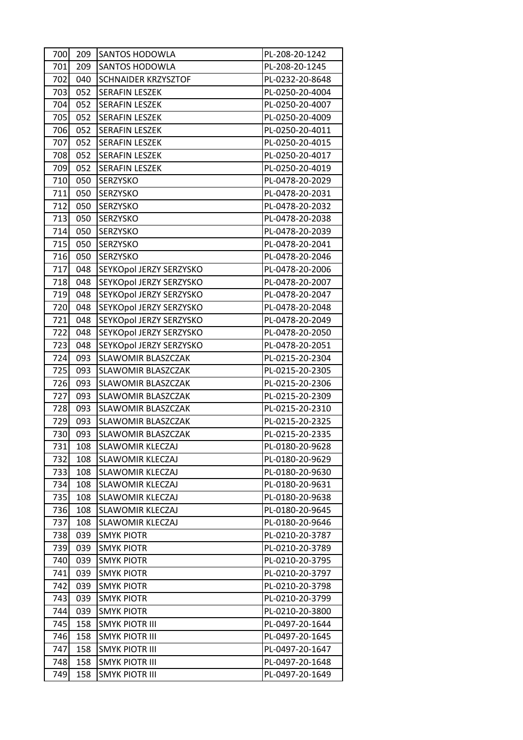| 700 | 209 | <b>SANTOS HODOWLA</b>     | PL-208-20-1242  |
|-----|-----|---------------------------|-----------------|
| 701 | 209 | SANTOS HODOWLA            | PL-208-20-1245  |
| 702 | 040 | SCHNAIDER KRZYSZTOF       | PL-0232-20-8648 |
| 703 | 052 | <b>SERAFIN LESZEK</b>     | PL-0250-20-4004 |
| 704 | 052 | <b>SERAFIN LESZEK</b>     | PL-0250-20-4007 |
| 705 | 052 | <b>SERAFIN LESZEK</b>     | PL-0250-20-4009 |
| 706 | 052 | <b>SERAFIN LESZEK</b>     | PL-0250-20-4011 |
| 707 | 052 | <b>SERAFIN LESZEK</b>     | PL-0250-20-4015 |
| 708 | 052 | <b>SERAFIN LESZEK</b>     | PL-0250-20-4017 |
| 709 | 052 | <b>SERAFIN LESZEK</b>     | PL-0250-20-4019 |
| 710 | 050 | SERZYSKO                  | PL-0478-20-2029 |
| 711 | 050 | SERZYSKO                  | PL-0478-20-2031 |
| 712 | 050 | <b>SERZYSKO</b>           | PL-0478-20-2032 |
| 713 | 050 | SERZYSKO                  | PL-0478-20-2038 |
| 714 | 050 | SERZYSKO                  | PL-0478-20-2039 |
| 715 | 050 | SERZYSKO                  | PL-0478-20-2041 |
| 716 | 050 | SERZYSKO                  | PL-0478-20-2046 |
| 717 | 048 | SEYKOpol JERZY SERZYSKO   | PL-0478-20-2006 |
| 718 | 048 | SEYKOpol JERZY SERZYSKO   | PL-0478-20-2007 |
| 719 | 048 | SEYKOpol JERZY SERZYSKO   | PL-0478-20-2047 |
| 720 | 048 | SEYKOpol JERZY SERZYSKO   | PL-0478-20-2048 |
| 721 | 048 | SEYKOpol JERZY SERZYSKO   | PL-0478-20-2049 |
| 722 | 048 | SEYKOpol JERZY SERZYSKO   | PL-0478-20-2050 |
| 723 | 048 | SEYKOpol JERZY SERZYSKO   | PL-0478-20-2051 |
| 724 | 093 | <b>SLAWOMIR BLASZCZAK</b> | PL-0215-20-2304 |
| 725 | 093 | SLAWOMIR BLASZCZAK        | PL-0215-20-2305 |
| 726 | 093 | SLAWOMIR BLASZCZAK        | PL-0215-20-2306 |
| 727 | 093 | SLAWOMIR BLASZCZAK        | PL-0215-20-2309 |
| 728 | 093 | SLAWOMIR BLASZCZAK        | PL-0215-20-2310 |
| 729 | 093 | <b>SLAWOMIR BLASZCZAK</b> | PL-0215-20-2325 |
| 730 | 093 | <b>SLAWOMIR BLASZCZAK</b> | PL-0215-20-2335 |
| 731 | 108 | SLAWOMIR KLECZAJ          | PL-0180-20-9628 |
| 732 | 108 | SLAWOMIR KLECZAJ          | PL-0180-20-9629 |
| 733 | 108 | <b>SLAWOMIR KLECZAJ</b>   | PL-0180-20-9630 |
| 734 | 108 | <b>SLAWOMIR KLECZAJ</b>   | PL-0180-20-9631 |
| 735 | 108 | <b>SLAWOMIR KLECZAJ</b>   | PL-0180-20-9638 |
| 736 | 108 | <b>SLAWOMIR KLECZAJ</b>   | PL-0180-20-9645 |
| 737 | 108 | SLAWOMIR KLECZAJ          | PL-0180-20-9646 |
| 738 | 039 | <b>SMYK PIOTR</b>         | PL-0210-20-3787 |
| 739 | 039 | <b>SMYK PIOTR</b>         | PL-0210-20-3789 |
| 740 | 039 | <b>SMYK PIOTR</b>         | PL-0210-20-3795 |
| 741 | 039 | <b>SMYK PIOTR</b>         | PL-0210-20-3797 |
| 742 | 039 | <b>SMYK PIOTR</b>         | PL-0210-20-3798 |
| 743 | 039 | <b>SMYK PIOTR</b>         | PL-0210-20-3799 |
| 744 | 039 | <b>SMYK PIOTR</b>         | PL-0210-20-3800 |
| 745 | 158 | SMYK PIOTR III            | PL-0497-20-1644 |
| 746 | 158 | <b>SMYK PIOTR III</b>     | PL-0497-20-1645 |
| 747 | 158 | SMYK PIOTR III            | PL-0497-20-1647 |
| 748 | 158 | <b>SMYK PIOTR III</b>     | PL-0497-20-1648 |
| 749 | 158 | SMYK PIOTR III            | PL-0497-20-1649 |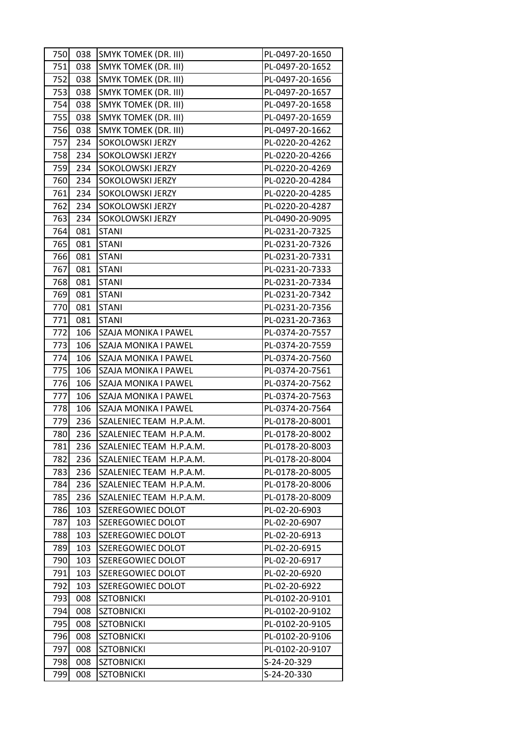| 750 | 038 | <b>SMYK TOMEK (DR. III)</b> | PL-0497-20-1650 |
|-----|-----|-----------------------------|-----------------|
| 751 | 038 | <b>SMYK TOMEK (DR. III)</b> | PL-0497-20-1652 |
| 752 | 038 | <b>SMYK TOMEK (DR. III)</b> | PL-0497-20-1656 |
| 753 | 038 | <b>SMYK TOMEK (DR. III)</b> | PL-0497-20-1657 |
| 754 | 038 | <b>SMYK TOMEK (DR. III)</b> | PL-0497-20-1658 |
| 755 | 038 | <b>SMYK TOMEK (DR. III)</b> | PL-0497-20-1659 |
| 756 | 038 | <b>SMYK TOMEK (DR. III)</b> | PL-0497-20-1662 |
| 757 | 234 | SOKOLOWSKI JERZY            | PL-0220-20-4262 |
| 758 | 234 | SOKOLOWSKI JERZY            | PL-0220-20-4266 |
| 759 | 234 | SOKOLOWSKI JERZY            | PL-0220-20-4269 |
| 760 | 234 | SOKOLOWSKI JERZY            | PL-0220-20-4284 |
| 761 | 234 | SOKOLOWSKI JERZY            | PL-0220-20-4285 |
| 762 | 234 | SOKOLOWSKI JERZY            | PL-0220-20-4287 |
| 763 | 234 | SOKOLOWSKI JERZY            | PL-0490-20-9095 |
| 764 | 081 | <b>STANI</b>                | PL-0231-20-7325 |
| 765 | 081 | <b>STANI</b>                | PL-0231-20-7326 |
| 766 | 081 | <b>STANI</b>                | PL-0231-20-7331 |
| 767 | 081 | <b>STANI</b>                | PL-0231-20-7333 |
| 768 | 081 | <b>STANI</b>                | PL-0231-20-7334 |
| 769 | 081 | <b>STANI</b>                | PL-0231-20-7342 |
| 770 | 081 | <b>STANI</b>                | PL-0231-20-7356 |
| 771 | 081 | <b>STANI</b>                | PL-0231-20-7363 |
| 772 | 106 | SZAJA MONIKA I PAWEL        | PL-0374-20-7557 |
| 773 | 106 | SZAJA MONIKA I PAWEL        | PL-0374-20-7559 |
| 774 | 106 | SZAJA MONIKA I PAWEL        | PL-0374-20-7560 |
| 775 | 106 | SZAJA MONIKA I PAWEL        | PL-0374-20-7561 |
| 776 | 106 | SZAJA MONIKA I PAWEL        | PL-0374-20-7562 |
| 777 | 106 | SZAJA MONIKA I PAWEL        | PL-0374-20-7563 |
| 778 | 106 | SZAJA MONIKA I PAWEL        | PL-0374-20-7564 |
| 779 | 236 | SZALENIEC TEAM H.P.A.M.     | PL-0178-20-8001 |
| 780 | 236 | SZALENIEC TEAM H.P.A.M.     | PL-0178-20-8002 |
| 781 | 236 | SZALENIEC TEAM H.P.A.M.     | PL-0178-20-8003 |
| 782 | 236 | SZALENIEC TEAM H.P.A.M.     | PL-0178-20-8004 |
| 783 | 236 | SZALENIEC TEAM H.P.A.M.     | PL-0178-20-8005 |
| 784 | 236 | SZALENIEC TEAM H.P.A.M.     | PL-0178-20-8006 |
| 785 | 236 | SZALENIEC TEAM H.P.A.M.     | PL-0178-20-8009 |
| 786 | 103 | SZEREGOWIEC DOLOT           | PL-02-20-6903   |
| 787 | 103 | SZEREGOWIEC DOLOT           | PL-02-20-6907   |
| 788 | 103 | SZEREGOWIEC DOLOT           | PL-02-20-6913   |
| 789 | 103 | SZEREGOWIEC DOLOT           | PL-02-20-6915   |
| 790 | 103 | SZEREGOWIEC DOLOT           | PL-02-20-6917   |
| 791 | 103 | SZEREGOWIEC DOLOT           | PL-02-20-6920   |
| 792 | 103 | SZEREGOWIEC DOLOT           | PL-02-20-6922   |
| 793 | 008 | <b>SZTOBNICKI</b>           | PL-0102-20-9101 |
| 794 | 008 | <b>SZTOBNICKI</b>           | PL-0102-20-9102 |
| 795 | 008 | <b>SZTOBNICKI</b>           | PL-0102-20-9105 |
| 796 | 008 | <b>SZTOBNICKI</b>           | PL-0102-20-9106 |
| 797 | 008 | <b>SZTOBNICKI</b>           | PL-0102-20-9107 |
| 798 | 008 | <b>SZTOBNICKI</b>           | S-24-20-329     |
| 799 | 008 | <b>SZTOBNICKI</b>           | S-24-20-330     |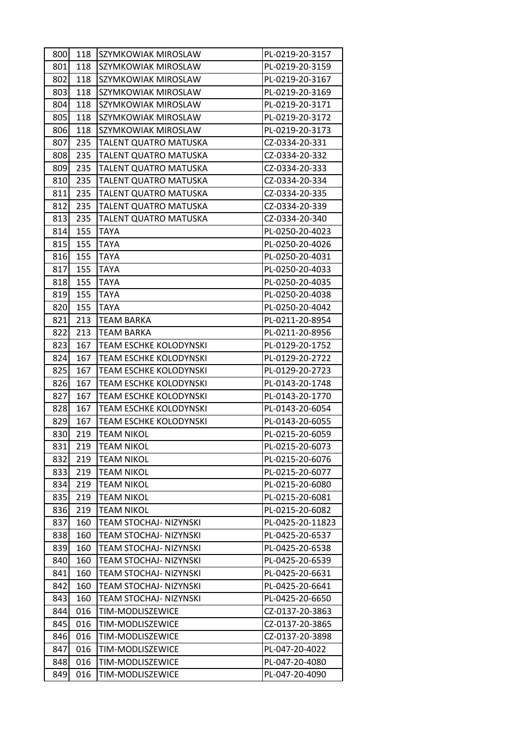| 800        | 118        | SZYMKOWIAK MIROSLAW                  | PL-0219-20-3157                    |
|------------|------------|--------------------------------------|------------------------------------|
| 801        | 118        | SZYMKOWIAK MIROSLAW                  | PL-0219-20-3159                    |
| 802        | 118        | SZYMKOWIAK MIROSLAW                  | PL-0219-20-3167                    |
| 803        | 118        | SZYMKOWIAK MIROSLAW                  | PL-0219-20-3169                    |
| 804        | 118        | SZYMKOWIAK MIROSLAW                  | PL-0219-20-3171                    |
| 805        | 118        | SZYMKOWIAK MIROSLAW                  | PL-0219-20-3172                    |
| 806        | 118        | SZYMKOWIAK MIROSLAW                  | PL-0219-20-3173                    |
| 807        | 235        | TALENT QUATRO MATUSKA                | CZ-0334-20-331                     |
| 808        | 235        | TALENT QUATRO MATUSKA                | CZ-0334-20-332                     |
| 809        | 235        | TALENT QUATRO MATUSKA                | CZ-0334-20-333                     |
| 810        | 235        | TALENT QUATRO MATUSKA                | CZ-0334-20-334                     |
| 811        | 235        | TALENT QUATRO MATUSKA                | CZ-0334-20-335                     |
| 812        | 235        | TALENT QUATRO MATUSKA                | CZ-0334-20-339                     |
| 813        | 235        | TALENT QUATRO MATUSKA                | CZ-0334-20-340                     |
| 814        | 155        | <b>TAYA</b>                          | PL-0250-20-4023                    |
| 815        | 155        | TAYA                                 | PL-0250-20-4026                    |
| 816        | 155        | <b>TAYA</b>                          | PL-0250-20-4031                    |
| 817        | 155        | TAYA                                 | PL-0250-20-4033                    |
| 818        | 155        | TAYA                                 | PL-0250-20-4035                    |
| 819        | 155        | <b>TAYA</b>                          | PL-0250-20-4038                    |
| 820        | 155        | TAYA                                 | PL-0250-20-4042                    |
| 821        | 213        | <b>TEAM BARKA</b>                    | PL-0211-20-8954                    |
| 822        | 213        | TEAM BARKA                           | PL-0211-20-8956                    |
| 823        | 167        | TEAM ESCHKE KOLODYNSKI               | PL-0129-20-1752                    |
| 824        | 167        | <b>TEAM ESCHKE KOLODYNSKI</b>        | PL-0129-20-2722                    |
| 825        | 167        | TEAM ESCHKE KOLODYNSKI               | PL-0129-20-2723                    |
| 826        | 167        | TEAM ESCHKE KOLODYNSKI               | PL-0143-20-1748                    |
| 827        | 167        | TEAM ESCHKE KOLODYNSKI               | PL-0143-20-1770                    |
| 828        | 167        | <b>TEAM ESCHKE KOLODYNSKI</b>        | PL-0143-20-6054                    |
| 829        | 167        | <b>TEAM ESCHKE KOLODYNSKI</b>        | PL-0143-20-6055                    |
| 830        | 219        | <b>TEAM NIKOL</b>                    | PL-0215-20-6059                    |
| 831        | 219        | <b>TEAM NIKOL</b>                    | PL-0215-20-6073                    |
| 832        | 219        | <b>TEAM NIKOL</b>                    | PL-0215-20-6076                    |
| 833        | 219        | <b>TEAM NIKOL</b>                    | PL-0215-20-6077                    |
| 834        | 219        | <b>TEAM NIKOL</b>                    | PL-0215-20-6080                    |
| 835        | 219        | <b>TEAM NIKOL</b>                    | PL-0215-20-6081                    |
| 836        | 219        | <b>TEAM NIKOL</b>                    | PL-0215-20-6082                    |
| 837        | 160        | TEAM STOCHAJ- NIZYNSKI               | PL-0425-20-11823                   |
| 838        | 160        | TEAM STOCHAJ- NIZYNSKI               | PL-0425-20-6537                    |
| 839        | 160        | TEAM STOCHAJ- NIZYNSKI               | PL-0425-20-6538                    |
| 840        | 160        | TEAM STOCHAJ- NIZYNSKI               | PL-0425-20-6539                    |
| 841        | 160        | TEAM STOCHAJ- NIZYNSKI               | PL-0425-20-6631                    |
| 842        | 160        | TEAM STOCHAJ- NIZYNSKI               | PL-0425-20-6641                    |
| 843        | 160        | TEAM STOCHAJ- NIZYNSKI               | PL-0425-20-6650                    |
| 844<br>845 | 016<br>016 | TIM-MODLISZEWICE<br>TIM-MODLISZEWICE | CZ-0137-20-3863                    |
| 846        | 016        | TIM-MODLISZEWICE                     | CZ-0137-20-3865<br>CZ-0137-20-3898 |
| 847        | 016        | TIM-MODLISZEWICE                     | PL-047-20-4022                     |
| 848        | 016        | TIM-MODLISZEWICE                     | PL-047-20-4080                     |
| 849        | 016        | TIM-MODLISZEWICE                     | PL-047-20-4090                     |
|            |            |                                      |                                    |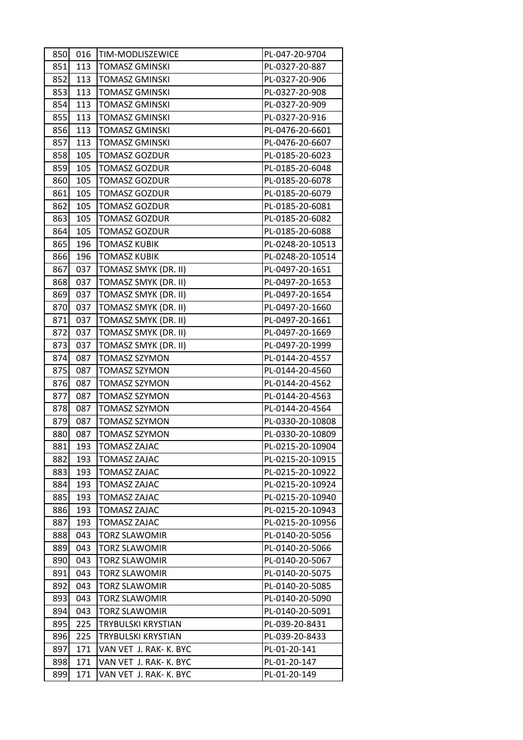| 850 <b>1</b> |     | 016   TIM-MODLISZEWICE | PL-047-20-9704   |  |
|--------------|-----|------------------------|------------------|--|
| 851          | 113 | <b>TOMASZ GMINSKI</b>  | PL-0327-20-887   |  |
| 852          | 113 | <b>TOMASZ GMINSKI</b>  | PL-0327-20-906   |  |
| 853          | 113 | TOMASZ GMINSKI         | PL-0327-20-908   |  |
| 854          | 113 | <b>TOMASZ GMINSKI</b>  | PL-0327-20-909   |  |
| 855          | 113 | TOMASZ GMINSKI         | PL-0327-20-916   |  |
| 856          | 113 | <b>TOMASZ GMINSKI</b>  | PL-0476-20-6601  |  |
| 857          | 113 | <b>TOMASZ GMINSKI</b>  | PL-0476-20-6607  |  |
| 858          | 105 | <b>TOMASZ GOZDUR</b>   | PL-0185-20-6023  |  |
| 859          | 105 | <b>TOMASZ GOZDUR</b>   | PL-0185-20-6048  |  |
| 860          | 105 | <b>TOMASZ GOZDUR</b>   | PL-0185-20-6078  |  |
| 861          | 105 | <b>TOMASZ GOZDUR</b>   | PL-0185-20-6079  |  |
| 862          | 105 | <b>TOMASZ GOZDUR</b>   | PL-0185-20-6081  |  |
| 863          | 105 | <b>TOMASZ GOZDUR</b>   | PL-0185-20-6082  |  |
| 864          | 105 | <b>TOMASZ GOZDUR</b>   | PL-0185-20-6088  |  |
| 865          | 196 | TOMASZ KUBIK           | PL-0248-20-10513 |  |
| 866          | 196 | <b>TOMASZ KUBIK</b>    | PL-0248-20-10514 |  |
| 867          | 037 | TOMASZ SMYK (DR. II)   | PL-0497-20-1651  |  |
| 868          | 037 | TOMASZ SMYK (DR. II)   | PL-0497-20-1653  |  |
| 869          | 037 | TOMASZ SMYK (DR. II)   | PL-0497-20-1654  |  |
| 870          | 037 | TOMASZ SMYK (DR. II)   | PL-0497-20-1660  |  |
| 871          | 037 | TOMASZ SMYK (DR. II)   | PL-0497-20-1661  |  |
| 872          | 037 | TOMASZ SMYK (DR. II)   | PL-0497-20-1669  |  |
| 873          | 037 | TOMASZ SMYK (DR. II)   | PL-0497-20-1999  |  |
| 874          | 087 | <b>TOMASZ SZYMON</b>   | PL-0144-20-4557  |  |
| 875          | 087 | TOMASZ SZYMON          | PL-0144-20-4560  |  |
| 876          | 087 | <b>TOMASZ SZYMON</b>   | PL-0144-20-4562  |  |
| 877          | 087 | <b>TOMASZ SZYMON</b>   | PL-0144-20-4563  |  |
| 878          | 087 | <b>TOMASZ SZYMON</b>   | PL-0144-20-4564  |  |
| 879          | 087 | <b>TOMASZ SZYMON</b>   | PL-0330-20-10808 |  |
| 880          | 087 | TOMASZ SZYMON          | PL-0330-20-10809 |  |
| 881          | 193 | TOMASZ ZAJAC           | PL-0215-20-10904 |  |
| 882          | 193 | TOMASZ ZAJAC           | PL-0215-20-10915 |  |
| 883          | 193 | TOMASZ ZAJAC           | PL-0215-20-10922 |  |
| 884          | 193 | <b>TOMASZ ZAJAC</b>    | PL-0215-20-10924 |  |
| 885          | 193 | TOMASZ ZAJAC           | PL-0215-20-10940 |  |
| 886          | 193 | <b>TOMASZ ZAJAC</b>    | PL-0215-20-10943 |  |
| 887          | 193 | TOMASZ ZAJAC           | PL-0215-20-10956 |  |
| 888          | 043 | <b>TORZ SLAWOMIR</b>   | PL-0140-20-5056  |  |
| 889          | 043 | <b>TORZ SLAWOMIR</b>   | PL-0140-20-5066  |  |
| 890          | 043 | <b>TORZ SLAWOMIR</b>   | PL-0140-20-5067  |  |
| 891          | 043 | <b>TORZ SLAWOMIR</b>   | PL-0140-20-5075  |  |
| 892          | 043 | <b>TORZ SLAWOMIR</b>   | PL-0140-20-5085  |  |
| 893          | 043 | TORZ SLAWOMIR          | PL-0140-20-5090  |  |
| 894          | 043 | <b>TORZ SLAWOMIR</b>   | PL-0140-20-5091  |  |
| 895          | 225 | TRYBULSKI KRYSTIAN     | PL-039-20-8431   |  |
| 896          | 225 | TRYBULSKI KRYSTIAN     | PL-039-20-8433   |  |
| 897          | 171 | VAN VET J. RAK- K. BYC | PL-01-20-141     |  |
| 898          | 171 | VAN VET J. RAK- K. BYC | PL-01-20-147     |  |
| 899          | 171 | VAN VET J. RAK-K. BYC  | PL-01-20-149     |  |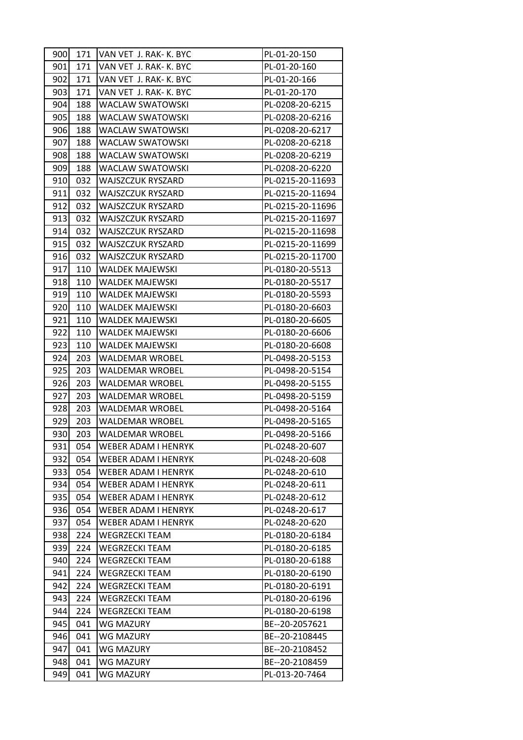| 900        | 171 | VAN VET J. RAK- K. BYC               | PL-01-20-150                     |
|------------|-----|--------------------------------------|----------------------------------|
| 901        | 171 | VAN VET J. RAK- K. BYC               | PL-01-20-160                     |
| 902        | 171 | VAN VET J. RAK- K. BYC               | PL-01-20-166                     |
| 903        | 171 | VAN VET J. RAK- K. BYC               | PL-01-20-170                     |
| 904        | 188 | <b>WACLAW SWATOWSKI</b>              | PL-0208-20-6215                  |
| 905        | 188 | <b>WACLAW SWATOWSKI</b>              | PL-0208-20-6216                  |
| 906        | 188 | WACLAW SWATOWSKI                     | PL-0208-20-6217                  |
| 907        | 188 | <b>WACLAW SWATOWSKI</b>              | PL-0208-20-6218                  |
| 908        | 188 | <b>WACLAW SWATOWSKI</b>              | PL-0208-20-6219                  |
| 909        | 188 | <b>WACLAW SWATOWSKI</b>              | PL-0208-20-6220                  |
| 910        | 032 | WAJSZCZUK RYSZARD                    | PL-0215-20-11693                 |
| 911        | 032 | WAJSZCZUK RYSZARD                    | PL-0215-20-11694                 |
| 912        | 032 | <b>WAJSZCZUK RYSZARD</b>             | PL-0215-20-11696                 |
| 913        | 032 | <b>WAJSZCZUK RYSZARD</b>             | PL-0215-20-11697                 |
| 914        | 032 | <b>WAJSZCZUK RYSZARD</b>             | PL-0215-20-11698                 |
| 915        | 032 | WAJSZCZUK RYSZARD                    | PL-0215-20-11699                 |
| 916        | 032 | <b>WAJSZCZUK RYSZARD</b>             | PL-0215-20-11700                 |
| 917        | 110 | <b>WALDEK MAJEWSKI</b>               | PL-0180-20-5513                  |
| 918        | 110 | <b>WALDEK MAJEWSKI</b>               | PL-0180-20-5517                  |
| 919        | 110 | <b>WALDEK MAJEWSKI</b>               | PL-0180-20-5593                  |
| 920        | 110 | <b>WALDEK MAJEWSKI</b>               | PL-0180-20-6603                  |
| 921        | 110 | <b>WALDEK MAJEWSKI</b>               | PL-0180-20-6605                  |
| 922        | 110 | <b>WALDEK MAJEWSKI</b>               | PL-0180-20-6606                  |
| 923        | 110 | <b>WALDEK MAJEWSKI</b>               | PL-0180-20-6608                  |
| 924        | 203 | <b>WALDEMAR WROBEL</b>               | PL-0498-20-5153                  |
| 925        | 203 | WALDEMAR WROBEL                      | PL-0498-20-5154                  |
| 926        | 203 | <b>WALDEMAR WROBEL</b>               | PL-0498-20-5155                  |
| 927        | 203 | <b>WALDEMAR WROBEL</b>               | PL-0498-20-5159                  |
| 928        | 203 | <b>WALDEMAR WROBEL</b>               | PL-0498-20-5164                  |
| 929        | 203 | <b>WALDEMAR WROBEL</b>               | PL-0498-20-5165                  |
| 930        | 203 | <b>WALDEMAR WROBEL</b>               | PL-0498-20-5166                  |
| 931        | 054 | <b>WEBER ADAM I HENRYK</b>           | PL-0248-20-607                   |
| 932        | 054 | WEBER ADAM I HENRYK                  | PL-0248-20-608                   |
| 933        | 054 | <b>WEBER ADAM I HENRYK</b>           | PL-0248-20-610                   |
| 934        | 054 | <b>WEBER ADAM I HENRYK</b>           | PL-0248-20-611                   |
| 935        | 054 | WEBER ADAM I HENRYK                  | PL-0248-20-612                   |
| 936        | 054 | <b>WEBER ADAM I HENRYK</b>           | PL-0248-20-617                   |
| 937        | 054 | WEBER ADAM I HENRYK                  | PL-0248-20-620                   |
| 938        | 224 | <b>WEGRZECKI TEAM</b>                | PL-0180-20-6184                  |
| 939        | 224 | <b>WEGRZECKI TEAM</b>                | PL-0180-20-6185                  |
| 940        | 224 | <b>WEGRZECKI TEAM</b>                | PL-0180-20-6188                  |
| 941        | 224 | <b>WEGRZECKI TEAM</b>                | PL-0180-20-6190                  |
| 942        | 224 | <b>WEGRZECKI TEAM</b>                | PL-0180-20-6191                  |
| 943        | 224 | <b>WEGRZECKI TEAM</b>                | PL-0180-20-6196                  |
| 944        | 224 | <b>WEGRZECKI TEAM</b>                | PL-0180-20-6198                  |
| 945<br>946 | 041 | <b>WG MAZURY</b><br><b>WG MAZURY</b> | BE--20-2057621<br>BE--20-2108445 |
|            | 041 |                                      |                                  |
| 947<br>948 | 041 | <b>WG MAZURY</b>                     | BE--20-2108452                   |
| 949        | 041 | WG MAZURY<br><b>WG MAZURY</b>        | BE--20-2108459<br>PL-013-20-7464 |
|            | 041 |                                      |                                  |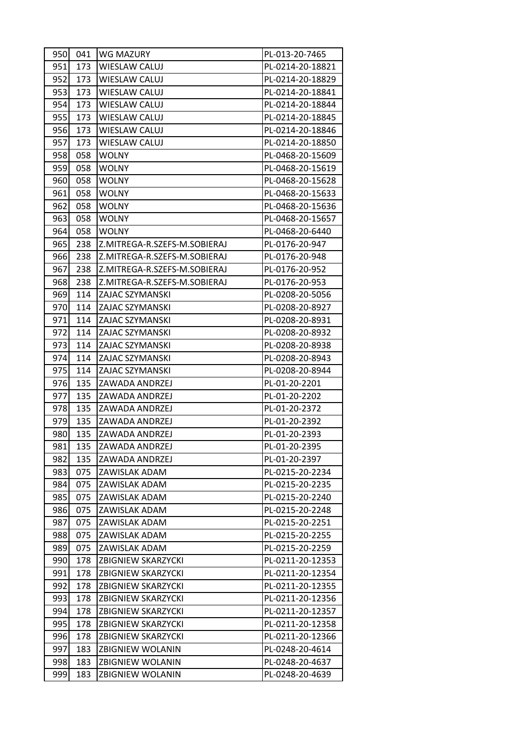| 950  | 041 | WG MAZURY                    | PL-013-20-7465   |  |
|------|-----|------------------------------|------------------|--|
| 951  | 173 | <b>WIESLAW CALUJ</b>         | PL-0214-20-18821 |  |
| 952  | 173 | WIESLAW CALUJ                | PL-0214-20-18829 |  |
| 953  | 173 | <b>WIESLAW CALUJ</b>         | PL-0214-20-18841 |  |
| 954  | 173 | <b>WIESLAW CALUJ</b>         | PL-0214-20-18844 |  |
| 955  | 173 | <b>WIESLAW CALUJ</b>         | PL-0214-20-18845 |  |
| 956  | 173 | <b>WIESLAW CALUJ</b>         | PL-0214-20-18846 |  |
| 957  | 173 | <b>WIESLAW CALUJ</b>         | PL-0214-20-18850 |  |
| 958  | 058 | <b>WOLNY</b>                 | PL-0468-20-15609 |  |
| 959  | 058 | <b>WOLNY</b>                 | PL-0468-20-15619 |  |
| 960  | 058 | <b>WOLNY</b>                 | PL-0468-20-15628 |  |
| 961  | 058 | <b>WOLNY</b>                 | PL-0468-20-15633 |  |
| 962  | 058 | <b>WOLNY</b>                 | PL-0468-20-15636 |  |
| 963  | 058 | <b>WOLNY</b>                 | PL-0468-20-15657 |  |
| 964  | 058 | <b>WOLNY</b>                 | PL-0468-20-6440  |  |
| 965  | 238 | Z.MITREGA-R.SZEFS-M.SOBIERAJ | PL-0176-20-947   |  |
| 966  | 238 | Z.MITREGA-R.SZEFS-M.SOBIERAJ | PL-0176-20-948   |  |
| 967  | 238 | Z.MITREGA-R.SZEFS-M.SOBIERAJ | PL-0176-20-952   |  |
| 968  | 238 | Z.MITREGA-R.SZEFS-M.SOBIERAJ | PL-0176-20-953   |  |
| 969  | 114 | ZAJAC SZYMANSKI              | PL-0208-20-5056  |  |
| 970  | 114 | ZAJAC SZYMANSKI              | PL-0208-20-8927  |  |
| 971  | 114 | ZAJAC SZYMANSKI              | PL-0208-20-8931  |  |
| 972  | 114 | ZAJAC SZYMANSKI              | PL-0208-20-8932  |  |
| 9731 | 114 | ZAJAC SZYMANSKI              | PL-0208-20-8938  |  |
| 974  | 114 | ZAJAC SZYMANSKI              | PL-0208-20-8943  |  |
| 975  | 114 | ZAJAC SZYMANSKI              | PL-0208-20-8944  |  |
| 976  | 135 | ZAWADA ANDRZEJ               | PL-01-20-2201    |  |
| 977  | 135 | ZAWADA ANDRZEJ               | PL-01-20-2202    |  |
| 978  | 135 | ZAWADA ANDRZEJ               | PL-01-20-2372    |  |
| 979  | 135 | ZAWADA ANDRZEJ               | PL-01-20-2392    |  |
| 980  | 135 | ZAWADA ANDRZEJ               | PL-01-20-2393    |  |
| 981  | 135 | ZAWADA ANDRZEJ               | PL-01-20-2395    |  |
| 982  | 135 | ZAWADA ANDRZEJ               | PL-01-20-2397    |  |
| 983  | 075 | ZAWISLAK ADAM                | PL-0215-20-2234  |  |
| 984  | 075 | ZAWISLAK ADAM                | PL-0215-20-2235  |  |
| 985  | 075 | ZAWISLAK ADAM                | PL-0215-20-2240  |  |
| 986  | 075 | ZAWISLAK ADAM                | PL-0215-20-2248  |  |
| 987  | 075 | ZAWISLAK ADAM                | PL-0215-20-2251  |  |
| 988  | 075 | ZAWISLAK ADAM                | PL-0215-20-2255  |  |
| 989  | 075 | ZAWISLAK ADAM                | PL-0215-20-2259  |  |
| 990  | 178 | <b>ZBIGNIEW SKARZYCKI</b>    | PL-0211-20-12353 |  |
| 991  | 178 | <b>ZBIGNIEW SKARZYCKI</b>    | PL-0211-20-12354 |  |
| 992  | 178 | <b>ZBIGNIEW SKARZYCKI</b>    | PL-0211-20-12355 |  |
| 993  | 178 | <b>ZBIGNIEW SKARZYCKI</b>    | PL-0211-20-12356 |  |
| 994  | 178 | <b>ZBIGNIEW SKARZYCKI</b>    | PL-0211-20-12357 |  |
| 995  | 178 | <b>ZBIGNIEW SKARZYCKI</b>    | PL-0211-20-12358 |  |
| 996  | 178 | <b>ZBIGNIEW SKARZYCKI</b>    | PL-0211-20-12366 |  |
| 997  | 183 | ZBIGNIEW WOLANIN             | PL-0248-20-4614  |  |
| 998  | 183 | ZBIGNIEW WOLANIN             | PL-0248-20-4637  |  |
| 999  | 183 | ZBIGNIEW WOLANIN             | PL-0248-20-4639  |  |
|      |     |                              |                  |  |